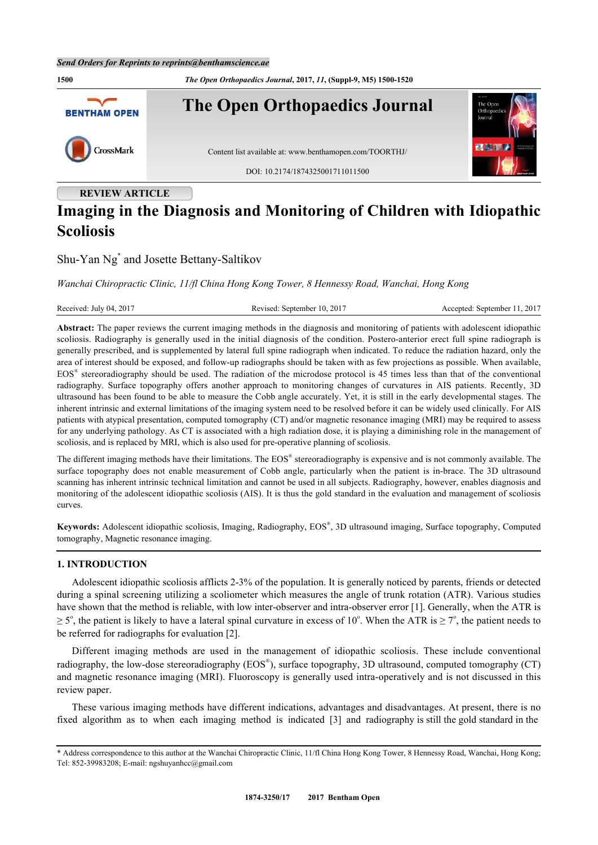

# **Imaging in the Diagnosis and Monitoring of Children with Idiopathic Scoliosis**

## Shu-Yan Ng[\\*](#page-0-0) and Josette Bettany-Saltikov

*Wanchai Chiropractic Clinic, 11/fl China Hong Kong Tower, 8 Hennessy Road, Wanchai, Hong Kong*

Received: July 04, 2017 Revised: September 10, 2017 Accepted: September 11, 2017

**Abstract:** The paper reviews the current imaging methods in the diagnosis and monitoring of patients with adolescent idiopathic scoliosis. Radiography is generally used in the initial diagnosis of the condition. Postero-anterior erect full spine radiograph is generally prescribed, and is supplemented by lateral full spine radiograph when indicated. To reduce the radiation hazard, only the area of interest should be exposed, and follow-up radiographs should be taken with as few projections as possible. When available, EOS® stereoradiography should be used. The radiation of the microdose protocol is 45 times less than that of the conventional radiography. Surface topography offers another approach to monitoring changes of curvatures in AIS patients. Recently, 3D ultrasound has been found to be able to measure the Cobb angle accurately. Yet, it is still in the early developmental stages. The inherent intrinsic and external limitations of the imaging system need to be resolved before it can be widely used clinically. For AIS patients with atypical presentation, computed tomography (CT) and/or magnetic resonance imaging (MRI) may be required to assess for any underlying pathology. As CT is associated with a high radiation dose, it is playing a diminishing role in the management of scoliosis, and is replaced by MRI, which is also used for pre-operative planning of scoliosis.

The different imaging methods have their limitations. The EOS® stereoradiography is expensive and is not commonly available. The surface topography does not enable measurement of Cobb angle, particularly when the patient is in-brace. The 3D ultrasound scanning has inherent intrinsic technical limitation and cannot be used in all subjects. Radiography, however, enables diagnosis and monitoring of the adolescent idiopathic scoliosis (AIS). It is thus the gold standard in the evaluation and management of scoliosis curves.

**Keywords:** Adolescent idiopathic scoliosis, Imaging, Radiography, EOS® , 3D ultrasound imaging, Surface topography, Computed tomography, Magnetic resonance imaging.

## **1. INTRODUCTION**

Adolescent idiopathic scoliosis afflicts 2-3% of the population. It is generally noticed by parents, friends or detected during a spinal screening utilizing a scoliometer which measures the angle of trunk rotation (ATR). Various studies have shown that the method is reliable, with low inter-observer and intra-observer error [[1\]](#page-15-0). Generally, when the ATR is  $\geq 5^\circ$ , the patient is likely to have a lateral spinal curvature in excess of 10°. When the ATR is  $\geq 7^\circ$ , the patient needs to be referred for radiographs for evaluation [\[2](#page-15-1)].

Different imaging methods are used in the management of idiopathic scoliosis. These include conventional radiography, the low-dose stereoradiography ( $EOS^*$ ), surface topography, 3D ultrasound, computed tomography (CT) and magnetic resonance imaging (MRI). Fluoroscopy is generally used intra-operatively and is not discussed in this review paper.

These various imaging methods have different indications, advantages and disadvantages. At present, there is no fixed algorithm as to when each imaging method is indicated [[3\]](#page-15-2) and radiography is still the gold standard in the

<span id="page-0-0"></span><sup>\*</sup> Address correspondence to this author at the Wanchai Chiropractic Clinic, 11/fl China Hong Kong Tower, 8 Hennessy Road, Wanchai, Hong Kong; Tel: 852-39983208; E-mail: [ngshuyanhcc@gmail.com](mailto:ngshuyanhcc@gmail.com)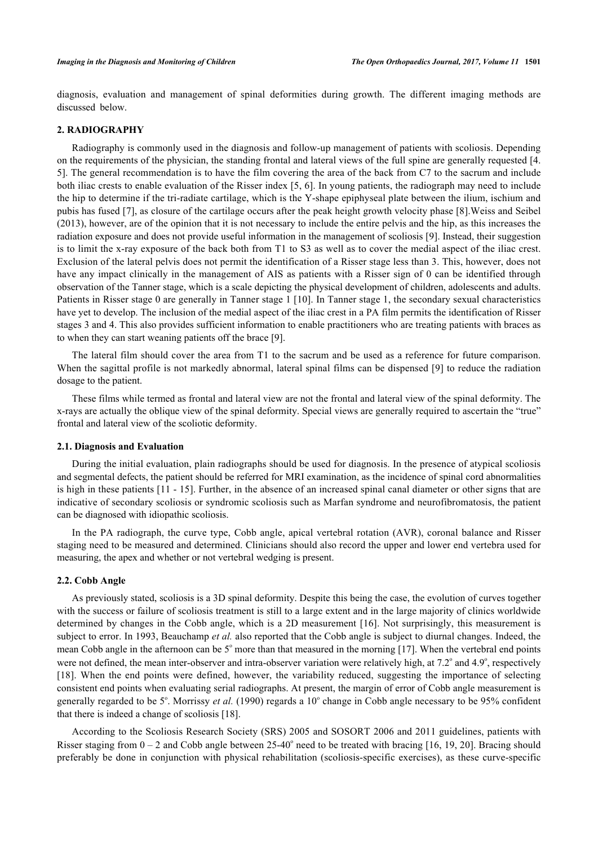diagnosis, evaluation and management of spinal deformities during growth. The different imaging methods are discussed below.

## **2. RADIOGRAPHY**

Radiography is commonly used in the diagnosis and follow-up management of patients with scoliosis. Depending on the requirements of the physician, the standing frontal and lateral views of the full spine are generally requested [4. 5]. The general recommendation is to have the film covering the area of the back from C7 to the sacrum and include both iliac crests to enable evaluation of the Risser index [[5,](#page-15-3) [6](#page-15-4)]. In young patients, the radiograph may need to include the hip to determine if the tri-radiate cartilage, which is the Y-shape epiphyseal plate between the ilium, ischium and pubis has fused [[7\]](#page-15-5), as closure of the cartilage occurs after the peak height growth velocity phase [[8\]](#page-15-6).Weiss and Seibel (2013), however, are of the opinion that it is not necessary to include the entire pelvis and the hip, as this increases the radiation exposure and does not provide useful information in the management of scoliosis [\[9](#page-15-7)]. Instead, their suggestion is to limit the x-ray exposure of the back both from T1 to S3 as well as to cover the medial aspect of the iliac crest. Exclusion of the lateral pelvis does not permit the identification of a Risser stage less than 3. This, however, does not have any impact clinically in the management of AIS as patients with a Risser sign of 0 can be identified through observation of the Tanner stage, which is a scale depicting the physical development of children, adolescents and adults. Patients in Risser stage 0 are generally in Tanner stage 1 [[10](#page-15-8)]. In Tanner stage 1, the secondary sexual characteristics have yet to develop. The inclusion of the medial aspect of the iliac crest in a PA film permits the identification of Risser stages 3 and 4. This also provides sufficient information to enable practitioners who are treating patients with braces as to when they can start weaning patients off the brace [\[9](#page-15-7)].

The lateral film should cover the area from T1 to the sacrum and be used as a reference for future comparison. When the sagittal profile is not markedly abnormal, lateral spinal films can be dispensed [\[9](#page-15-7)] to reduce the radiation dosage to the patient.

These films while termed as frontal and lateral view are not the frontal and lateral view of the spinal deformity. The x-rays are actually the oblique view of the spinal deformity. Special views are generally required to ascertain the "true" frontal and lateral view of the scoliotic deformity.

#### **2.1. Diagnosis and Evaluation**

During the initial evaluation, plain radiographs should be used for diagnosis. In the presence of atypical scoliosis and segmental defects, the patient should be referred for MRI examination, as the incidence of spinal cord abnormalities is high in these patients [[11](#page-15-9) - [15](#page-15-10)]. Further, in the absence of an increased spinal canal diameter or other signs that are indicative of secondary scoliosis or syndromic scoliosis such as Marfan syndrome and neurofibromatosis, the patient can be diagnosed with idiopathic scoliosis.

In the PA radiograph, the curve type, Cobb angle, apical vertebral rotation (AVR), coronal balance and Risser staging need to be measured and determined. Clinicians should also record the upper and lower end vertebra used for measuring, the apex and whether or not vertebral wedging is present.

#### **2.2. Cobb Angle**

As previously stated, scoliosis is a 3D spinal deformity. Despite this being the case, the evolution of curves together with the success or failure of scoliosis treatment is still to a large extent and in the large majority of clinics worldwide determined by changes in the Cobb angle, which is a 2D measurement [[16](#page-15-11)]. Not surprisingly, this measurement is subject to error. In 1993, Beauchamp *et al.* also reported that the Cobb angle is subject to diurnal changes. Indeed, the mean Cobb angle in the afternoon can be  $5^\circ$  more than that measured in the morning [[17\]](#page-15-12). When the vertebral end points were not defined, the mean inter-observer and intra-observer variation were relatively high, at 7.2° and 4.9°, respectively [\[18](#page-15-13)]. When the end points were defined, however, the variability reduced, suggesting the importance of selecting consistent end points when evaluating serial radiographs. At present, the margin of error of Cobb angle measurement is generally regarded to be 5°. Morrissy *et al.* (1990) regards a 10° change in Cobb angle necessary to be 95% confident that there is indeed a change of scoliosis [[18\]](#page-15-13).

According to the Scoliosis Research Society (SRS) 2005 and SOSORT 2006 and 2011 guidelines, patients with Risser staging from  $0 - 2$  and Cobb angle between 25-40 $^{\circ}$  need to be treated with bracing [\[16](#page-15-11), [19,](#page-16-0) [20](#page-16-1)]. Bracing should preferably be done in conjunction with physical rehabilitation (scoliosis-specific exercises), as these curve-specific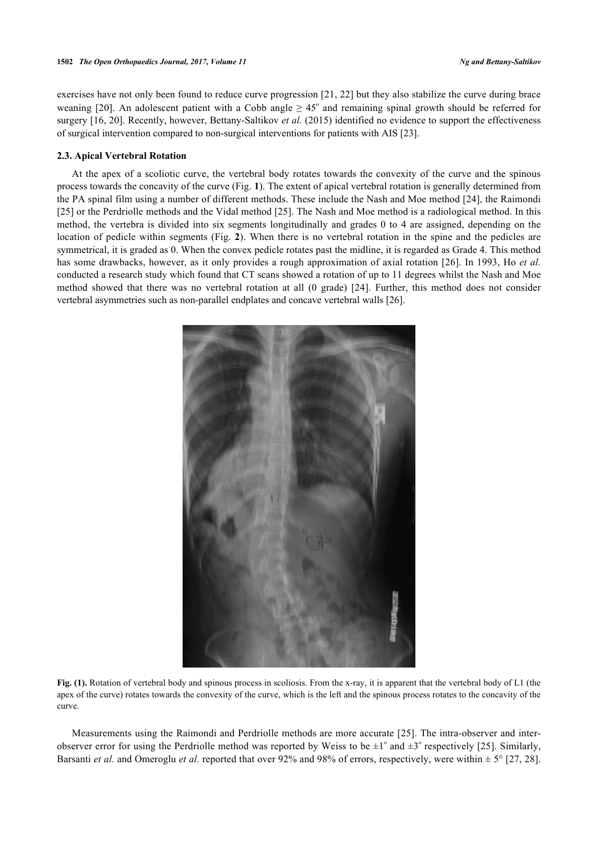exercises have not only been found to reduce curve progression [[21](#page-16-2), [22\]](#page-16-3) but they also stabilize the curve during brace weaning [\[20\]](#page-16-1). An adolescent patient with a Cobb angle  $\geq 45^{\circ}$  and remaining spinal growth should be referred for surgery [\[16](#page-15-11), [20\]](#page-16-1). Recently, however, Bettany-Saltikov *et al.* (2015) identified no evidence to support the effectiveness of surgical intervention compared to non-surgical interventions for patients with AIS [[23\]](#page-16-4).

#### **2.3. Apical Vertebral Rotation**

At the apex of a scoliotic curve, the vertebral body rotates towards the convexity of the curve and the spinous process towards the concavity of the curve (Fig. **[1](#page-2-0)**). The extent of apical vertebral rotation is generally determined from the PA spinal film using a number of different methods. These include the Nash and Moe method [\[24](#page-16-5)], the Raimondi [\[25](#page-16-6)] or the Perdriolle methods and the Vidal method [[25\]](#page-16-6). The Nash and Moe method is a radiological method. In this method, the vertebra is divided into six segments longitudinally and grades 0 to 4 are assigned, depending on the location of pedicle within segments (Fig. **[2](#page-3-0)**). When there is no vertebral rotation in the spine and the pedicles are symmetrical, it is graded as 0. When the convex pedicle rotates past the midline, it is regarded as Grade 4. This method has some drawbacks, however, as it only provides a rough approximation of axial rotation [\[26\]](#page-16-7). In 1993, Ho *et al.* conducted a research study which found that CT scans showed a rotation of up to 11 degrees whilst the Nash and Moe method showed that there was no vertebral rotation at all (0 grade) [\[24\]](#page-16-5). Further, this method does not consider vertebral asymmetries such as non-parallel endplates and concave vertebral walls [[26\]](#page-16-7).

<span id="page-2-0"></span>

**Fig. (1).** Rotation of vertebral body and spinous process in scoliosis. From the x-ray, it is apparent that the vertebral body of L1 (the apex of the curve) rotates towards the convexity of the curve, which is the left and the spinous process rotates to the concavity of the curve.

Measurements using the Raimondi and Perdriolle methods are more accurate [\[25](#page-16-6)]. The intra-observer and interobserver error for using the Perdriolle method was reported by Weiss to be  $\pm 1^{\circ}$  and  $\pm 3^{\circ}$  respectively [[25\]](#page-16-6). Similarly, Barsanti *et al.* and Omeroglu *et al.* reported that over 92% and 98% of errors, respectively, were within ± 5° [[27](#page-16-8), [28\]](#page-16-9).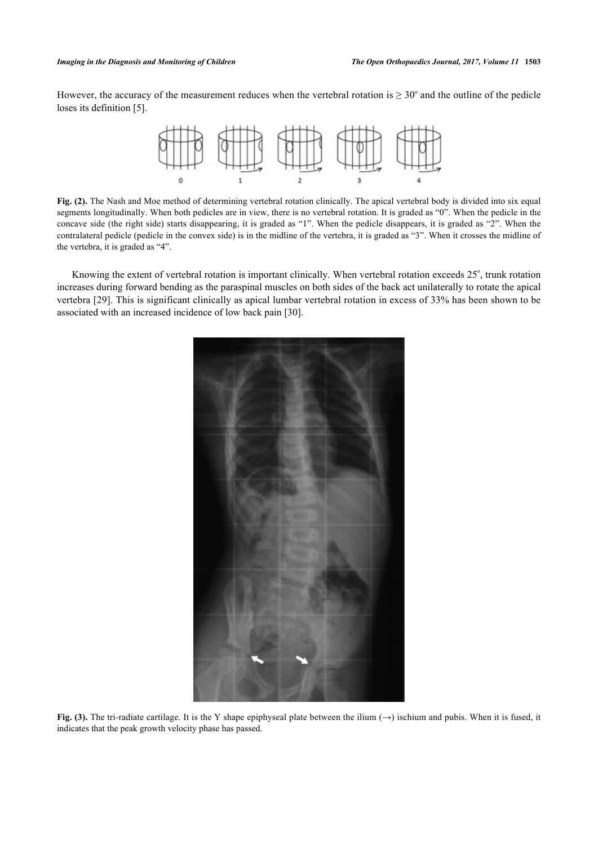<span id="page-3-0"></span>However, the accuracy of the measurement reduces when the vertebral rotation is  $\geq 30^{\circ}$  and the outline of the pedicle loses its definition [[5\]](#page-15-3).



**Fig. (2).** The Nash and Moe method of determining vertebral rotation clinically. The apical vertebral body is divided into six equal segments longitudinally. When both pedicles are in view, there is no vertebral rotation. It is graded as "0". When the pedicle in the concave side (the right side) starts disappearing, it is graded as "1". When the pedicle disappears, it is graded as "2". When the contralateral pedicle (pedicle in the convex side) is in the midline of the vertebra, it is graded as "3". When it crosses the midline of the vertebra, it is graded as "4".

Knowing the extent of vertebral rotation is important clinically. When vertebral rotation exceeds 25°, trunk rotation increases during forward bending as the paraspinal muscles on both sides of the back act unilaterally to rotate the apical vertebra [\[29\]](#page-16-10). This is significant clinically as apical lumbar vertebral rotation in excess of 33% has been shown to be associated with an increased incidence of low back pain [\[30](#page-16-11)].

<span id="page-3-1"></span>

**Fig. (3).** The tri-radiate cartilage. It is the Y shape epiphyseal plate between the ilium (→) ischium and pubis. When it is fused, it indicates that the peak growth velocity phase has passed.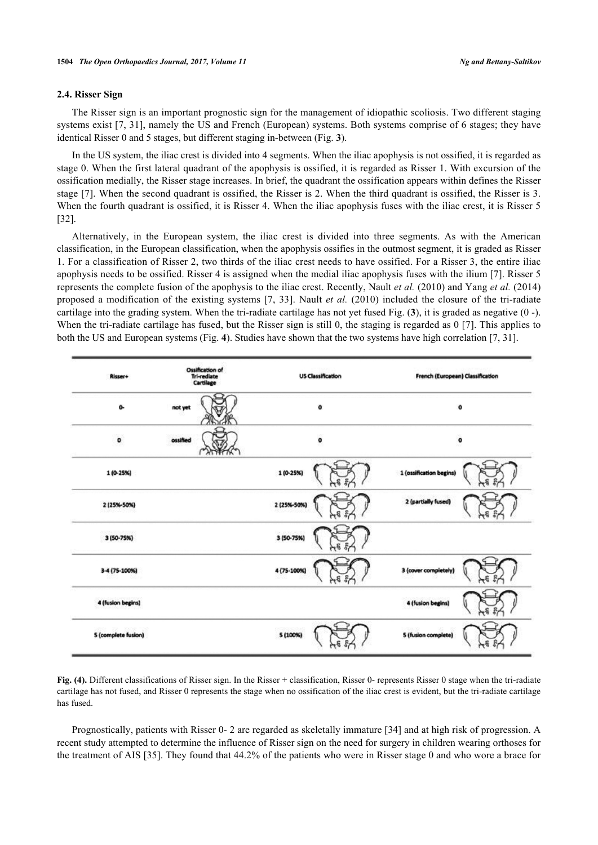#### **2.4. Risser Sign**

The Risser sign is an important prognostic sign for the management of idiopathic scoliosis. Two different staging systems exist [[7](#page-15-5), [31\]](#page-16-12), namely the US and French (European) systems. Both systems comprise of 6 stages; they have identical Risser 0 and 5 stages, but different staging in-between (Fig. **[3](#page-3-1)**).

In the US system, the iliac crest is divided into 4 segments. When the iliac apophysis is not ossified, it is regarded as stage 0. When the first lateral quadrant of the apophysis is ossified, it is regarded as Risser 1. With excursion of the ossification medially, the Risser stage increases. In brief, the quadrant the ossification appears within defines the Risser stage [\[7](#page-15-5)]. When the second quadrant is ossified, the Risser is 2. When the third quadrant is ossified, the Risser is 3. When the fourth quadrant is ossified, it is Risser 4. When the iliac apophysis fuses with the iliac crest, it is Risser 5 [\[32](#page-16-13)].

Alternatively, in the European system, the iliac crest is divided into three segments. As with the American classification, in the European classification, when the apophysis ossifies in the outmost segment, it is graded as Risser 1. For a classification of Risser 2, two thirds of the iliac crest needs to have ossified. For a Risser 3, the entire iliac apophysis needs to be ossified. Risser 4 is assigned when the medial iliac apophysis fuses with the ilium [[7\]](#page-15-5). Risser 5 represents the complete fusion of the apophysis to the iliac crest. Recently, Nault *et al.* (2010) and Yang *et al.* (2014) proposed a modification of the existing systems [[7,](#page-15-5) [33](#page-16-14)]. Nault *et al.* (2010) included the closure of the tri-radiate cartilage into the grading system. When the tri-radiate cartilage has not yet fused Fig. (**[3](#page-3-1)**), it is graded as negative (0 -). When the tri-radiate cartilage has fused, but the Risser sign is still 0, the staging is regarded as 0 [[7\]](#page-15-5). This applies to both the US and European systems (Fig. **[4](#page-4-0)**). Studies have shown that the two systems have high correlation [[7,](#page-15-5) [31\]](#page-16-12).

<span id="page-4-0"></span>

| <b>Risser+</b>             | Ossification of<br><b>Tri-rediate</b><br>Cartilage | <b>US Classification</b>           | French (European) Classification            |
|----------------------------|----------------------------------------------------|------------------------------------|---------------------------------------------|
| 0-                         | not yet                                            | o                                  | $\bf o$                                     |
| $\mathbf{o}$               | ossified                                           | 0                                  | $\bullet$                                   |
| 1 (0-25%)                  |                                                    | 1 (0-25%)<br>希                     | 1 (ossification begins)<br>Ę                |
| 2 (25%-50%)                |                                                    | 2 (25%-50%)<br>€,<br>cto           | 2 (partially fused)<br>٣ę                   |
| 3 (50-75%)                 |                                                    | 3 (50-75%)<br>g<br>a <sub>53</sub> |                                             |
| 3-4 (75-100%)              |                                                    | 4 (75-100%)<br>Ψę<br>Geo           | 3 (cover completely)<br>۴ę<br>$\frac{R}{2}$ |
| 4 (fusion begins)          |                                                    |                                    | 4 (fusion begins)<br>ξę<br>$\frac{8}{3}$    |
| <b>S</b> (complete fusion) |                                                    | 5 (100%)                           | 5 (fusion complete)<br>g                    |

Fig. (4). Different classifications of Risser sign. In the Risser + classification, Risser 0- represents Risser 0 stage when the tri-radiate cartilage has not fused, and Risser 0 represents the stage when no ossification of the iliac crest is evident, but the tri-radiate cartilage has fused.

Prognostically, patients with Risser 0- 2 are regarded as skeletally immature [\[34\]](#page-16-15) and at high risk of progression. A recent study attempted to determine the influence of Risser sign on the need for surgery in children wearing orthoses for the treatment of AIS [\[35](#page-16-16)]. They found that 44.2% of the patients who were in Risser stage 0 and who wore a brace for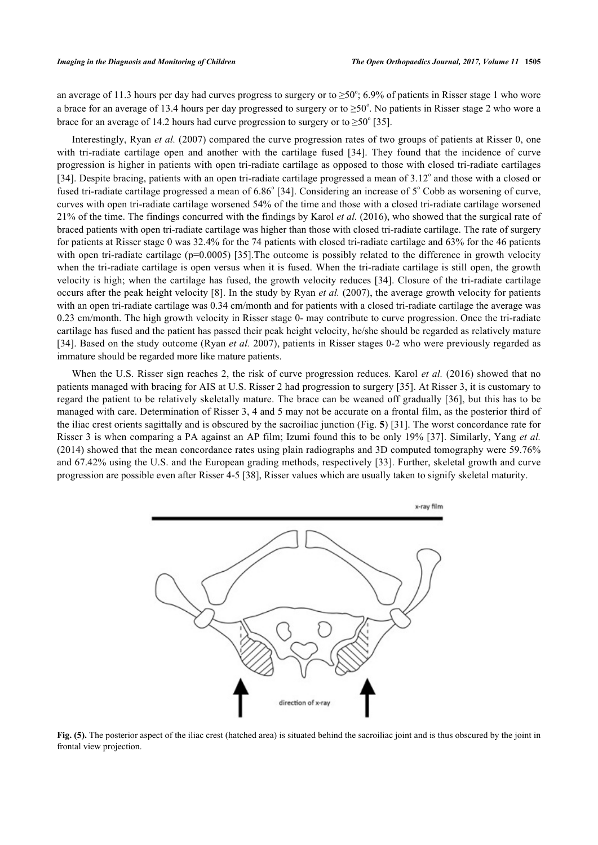an average of 11.3 hours per day had curves progress to surgery or to  $\geq 50^\circ$ ; 6.9% of patients in Risser stage 1 who wore a brace for an average of 13.4 hours per day progressed to surgery or to  $\geq 50^{\circ}$ . No patients in Risser stage 2 who wore a brace for an average of 14.2 hours had curve progression to surgery or to  $\geq 50^{\circ}$  [[35\]](#page-16-16).

Interestingly, Ryan *et al.* (2007) compared the curve progression rates of two groups of patients at Risser 0, one withtri-radiate cartilage open and another with the cartilage fused [[34\]](#page-16-15). They found that the incidence of curve progression is higher in patients with open tri-radiate cartilage as opposed to those with closed tri-radiate cartilages [\[34](#page-16-15)]. Despite bracing, patients with an open tri-radiate cartilage progressed a mean of 3.12° and those with a closed or fused tri-radiate cartilage progressed a mean of  $6.86^{\circ}$  [\[34](#page-16-15)]. Considering an increase of  $5^{\circ}$  Cobb as worsening of curve, curves with open tri-radiate cartilage worsened 54% of the time and those with a closed tri-radiate cartilage worsened 21% of the time. The findings concurred with the findings by Karol *et al.* (2016), who showed that the surgical rate of braced patients with open tri-radiate cartilage was higher than those with closed tri-radiate cartilage. The rate of surgery for patients at Risser stage 0 was 32.4% for the 74 patients with closed tri-radiate cartilage and 63% for the 46 patients with open tri-radiate cartilage (p=0.0005) [[35\]](#page-16-16). The outcome is possibly related to the difference in growth velocity when the tri-radiate cartilage is open versus when it is fused. When the tri-radiate cartilage is still open, the growth velocity is high; when the cartilage has fused, the growth velocity reduces [\[34\]](#page-16-15). Closure of the tri-radiate cartilage occurs after the peak height velocity [[8\]](#page-15-6). In the study by Ryan *et al.* (2007), the average growth velocity for patients with an open tri-radiate cartilage was 0.34 cm/month and for patients with a closed tri-radiate cartilage the average was 0.23 cm/month. The high growth velocity in Risser stage 0- may contribute to curve progression. Once the tri-radiate cartilage has fused and the patient has passed their peak height velocity, he/she should be regarded as relatively mature [\[34](#page-16-15)]. Based on the study outcome (Ryan *et al.* 2007), patients in Risser stages 0-2 who were previously regarded as immature should be regarded more like mature patients.

When the U.S. Risser sign reaches 2, the risk of curve progression reduces. Karol *et al.* (2016) showed that no patients managed with bracing for AIS at U.S. Risser 2 had progression to surgery [\[35](#page-16-16)]. At Risser 3, it is customary to regard the patient to be relatively skeletally mature. The brace can be weaned off gradually [[36\]](#page-16-17), but this has to be managed with care. Determination of Risser 3, 4 and 5 may not be accurate on a frontal film, as the posterior third of the iliac crest orients sagittally and is obscured by the sacroiliac junction (Fig. **[5](#page-5-0)**) [[31\]](#page-16-12). The worst concordance rate for Risser 3 is when comparing a PA against an AP film; Izumi found this to be only 19% [[37\]](#page-16-18). Similarly, Yang *et al.* (2014) showed that the mean concordance rates using plain radiographs and 3D computed tomography were 59.76% and 67.42% using the U.S. and the European grading methods, respectively [[33](#page-16-14)]. Further, skeletal growth and curve progression are possible even after Risser 4-5 [[38\]](#page-16-19), Risser values which are usually taken to signify skeletal maturity.

<span id="page-5-0"></span>

**Fig. (5).** The posterior aspect of the iliac crest (hatched area) is situated behind the sacroiliac joint and is thus obscured by the joint in frontal view projection.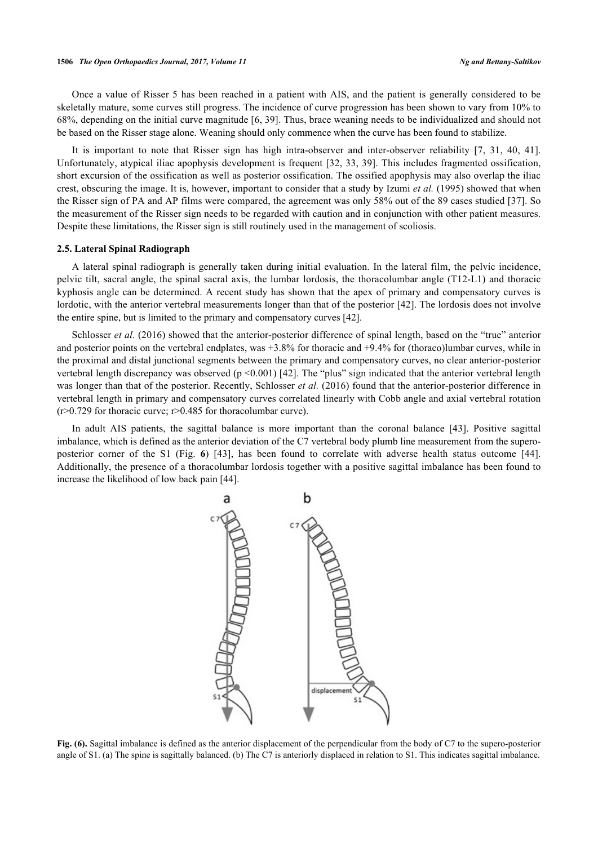Once a value of Risser 5 has been reached in a patient with AIS, and the patient is generally considered to be skeletally mature, some curves still progress. The incidence of curve progression has been shown to vary from 10% to 68%, depending on the initial curve magnitude [\[6,](#page-15-4) [39\]](#page-16-20). Thus, brace weaning needs to be individualized and should not be based on the Risser stage alone. Weaning should only commence when the curve has been found to stabilize.

It is important to note that Risser sign has high intra-observer and inter-observer reliability[[7,](#page-15-5) [31](#page-16-12), [40](#page-16-21), [41\]](#page-17-0). Unfortunately, atypical iliac apophysis development is frequent [\[32](#page-16-13), [33,](#page-16-14) [39\]](#page-16-20). This includes fragmented ossification, short excursion of the ossification as well as posterior ossification. The ossified apophysis may also overlap the iliac crest, obscuring the image. It is, however, important to consider that a study by Izumi *et al.* (1995) showed that when the Risser sign of PA and AP films were compared, the agreement was only 58% out of the 89 cases studied [[37](#page-16-18)]. So the measurement of the Risser sign needs to be regarded with caution and in conjunction with other patient measures. Despite these limitations, the Risser sign is still routinely used in the management of scoliosis.

#### **2.5. Lateral Spinal Radiograph**

A lateral spinal radiograph is generally taken during initial evaluation. In the lateral film, the pelvic incidence, pelvic tilt, sacral angle, the spinal sacral axis, the lumbar lordosis, the thoracolumbar angle (T12-L1) and thoracic kyphosis angle can be determined. A recent study has shown that the apex of primary and compensatory curves is lordotic, with the anterior vertebral measurements longer than that of the posterior [[42](#page-17-1)]. The lordosis does not involve the entire spine, but is limited to the primary and compensatory curves [[42\]](#page-17-1).

Schlosser *et al.* (2016) showed that the anterior-posterior difference of spinal length, based on the "true" anterior and posterior points on the vertebral endplates, was +3.8% for thoracic and +9.4% for (thoraco)lumbar curves, while in the proximal and distal junctional segments between the primary and compensatory curves, no clear anterior-posterior vertebral length discrepancy was observed (p <0.001) [[42\]](#page-17-1). The "plus" sign indicated that the anterior vertebral length was longer than that of the posterior. Recently, Schlosser *et al.* (2016) found that the anterior-posterior difference in vertebral length in primary and compensatory curves correlated linearly with Cobb angle and axial vertebral rotation (r>0.729 for thoracic curve; r>0.485 for thoracolumbar curve).

<span id="page-6-0"></span>In adult AIS patients, the sagittal balance is more important than the coronal balance[[43\]](#page-17-2). Positive sagittal imbalance, which is defined as the anterior deviation of the C7 vertebral body plumb line measurement from the superoposterior corner of the S1 (Fig.**6**) [\[43\]](#page-17-2), has been found to correlate with adverse health status outcome [\[44\]](#page-17-3). Additionally, the presence of a thoracolumbar lordosis together with a positive sagittal imbalance has been found to increase the likelihood of low back pain [\[44](#page-17-3)].



**Fig. (6).** Sagittal imbalance is defined as the anterior displacement of the perpendicular from the body of C7 to the supero-posterior angle of S1. (a) The spine is sagittally balanced. (b) The C7 is anteriorly displaced in relation to S1. This indicates sagittal imbalance.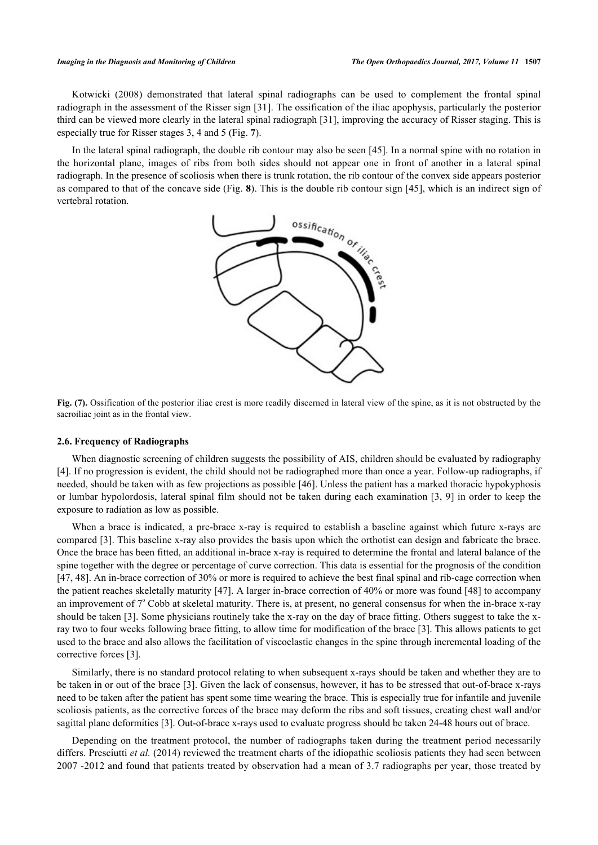Kotwicki (2008) demonstrated that lateral spinal radiographs can be used to complement the frontal spinal radiograph in the assessment of the Risser sign [\[31](#page-16-12)]. The ossification of the iliac apophysis, particularly the posterior third can be viewed more clearly in the lateral spinal radiograph [[31\]](#page-16-12), improving the accuracy of Risser staging. This is especially true for Risser stages 3, 4 and 5 (Fig. **[7](#page-7-0)**).

<span id="page-7-0"></span>In the lateral spinal radiograph, the double rib contour may also be seen [\[45\]](#page-17-4). In a normal spine with no rotation in the horizontal plane, images of ribs from both sides should not appear one in front of another in a lateral spinal radiograph. In the presence of scoliosis when there is trunk rotation, the rib contour of the convex side appears posterior as compared to that of the concave side (Fig. **[8](#page-8-0)**). This is the double rib contour sign [[45](#page-17-4)], which is an indirect sign of vertebral rotation.



**Fig. (7).** Ossification of the posterior iliac crest is more readily discerned in lateral view of the spine, as it is not obstructed by the sacroiliac joint as in the frontal view.

#### **2.6. Frequency of Radiographs**

When diagnostic screening of children suggests the possibility of AIS, children should be evaluated by radiography [\[4](#page-15-14)]. If no progression is evident, the child should not be radiographed more than once a year. Follow-up radiographs, if needed, should be taken with as few projections as possible [\[46](#page-17-5)]. Unless the patient has a marked thoracic hypokyphosis or lumbar hypolordosis, lateral spinal film should not be taken during each examination [[3,](#page-15-2) [9\]](#page-15-7) in order to keep the exposure to radiation as low as possible.

When a brace is indicated, a pre-brace x-ray is required to establish a baseline against which future x-rays are compared [[3](#page-15-2)]. This baseline x-ray also provides the basis upon which the orthotist can design and fabricate the brace. Once the brace has been fitted, an additional in-brace x-ray is required to determine the frontal and lateral balance of the spine together with the degree or percentage of curve correction. This data is essential for the prognosis of the condition [\[47](#page-17-6), [48](#page-17-7)]. An in-brace correction of 30% or more is required to achieve the best final spinal and rib-cage correction when the patient reaches skeletally maturity [[47\]](#page-17-6). A larger in-brace correction of 40% or more was found [[48](#page-17-7)] to accompany an improvement of 7° Cobb at skeletal maturity. There is, at present, no general consensus for when the in-brace x-ray should be taken [[3\]](#page-15-2). Some physicians routinely take the x-ray on the day of brace fitting. Others suggest to take the xray two to four weeks following brace fitting, to allow time for modification of the brace [[3\]](#page-15-2). This allows patients to get used to the brace and also allows the facilitation of viscoelastic changes in the spine through incremental loading of the corrective forces [\[3](#page-15-2)].

Similarly, there is no standard protocol relating to when subsequent x-rays should be taken and whether they are to be taken in or out of the brace [[3\]](#page-15-2). Given the lack of consensus, however, it has to be stressed that out-of-brace x-rays need to be taken after the patient has spent some time wearing the brace. This is especially true for infantile and juvenile scoliosis patients, as the corrective forces of the brace may deform the ribs and soft tissues, creating chest wall and/or sagittal plane deformities [[3\]](#page-15-2). Out-of-brace x-rays used to evaluate progress should be taken 24-48 hours out of brace.

Depending on the treatment protocol, the number of radiographs taken during the treatment period necessarily differs. Presciutti *et al.* (2014) reviewed the treatment charts of the idiopathic scoliosis patients they had seen between 2007 -2012 and found that patients treated by observation had a mean of 3.7 radiographs per year, those treated by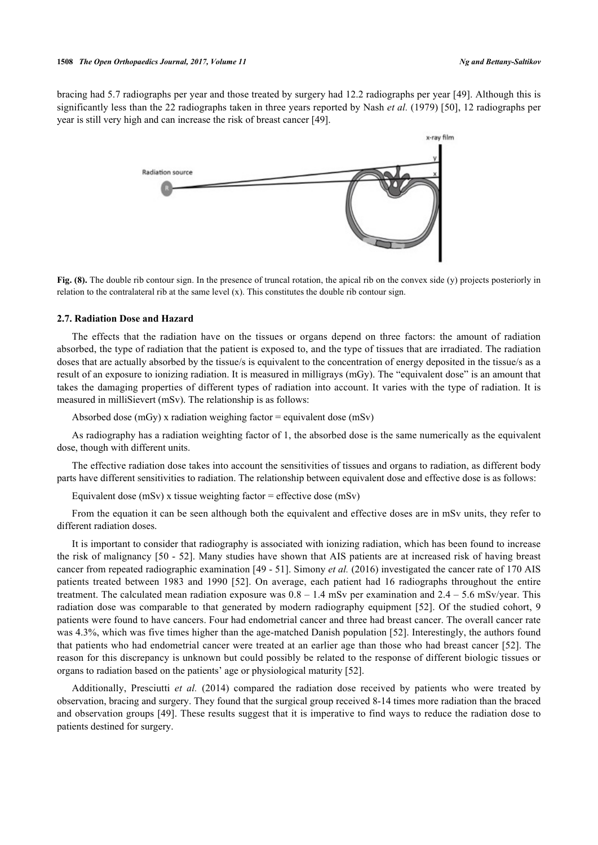<span id="page-8-0"></span>bracing had 5.7 radiographs per year and those treated by surgery had 12.2 radiographs per year [[49\]](#page-17-8). Although this is significantly less than the 22 radiographs taken in three years reported by Nash *et al.* (1979) [[50\]](#page-17-9), 12 radiographs per year is still very high and can increase the risk of breast cancer [[49\]](#page-17-8).



**Fig. (8).** The double rib contour sign. In the presence of truncal rotation, the apical rib on the convex side (y) projects posteriorly in relation to the contralateral rib at the same level (x). This constitutes the double rib contour sign.

#### **2.7. Radiation Dose and Hazard**

The effects that the radiation have on the tissues or organs depend on three factors: the amount of radiation absorbed, the type of radiation that the patient is exposed to, and the type of tissues that are irradiated. The radiation doses that are actually absorbed by the tissue/s is equivalent to the concentration of energy deposited in the tissue/s as a result of an exposure to ionizing radiation. It is measured in milligrays (mGy). The "equivalent dose" is an amount that takes the damaging properties of different types of radiation into account. It varies with the type of radiation. It is measured in milliSievert (mSv). The relationship is as follows:

Absorbed dose (mGy) x radiation weighing factor = equivalent dose (mSv)

As radiography has a radiation weighting factor of 1, the absorbed dose is the same numerically as the equivalent dose, though with different units.

The effective radiation dose takes into account the sensitivities of tissues and organs to radiation, as different body parts have different sensitivities to radiation. The relationship between equivalent dose and effective dose is as follows:

Equivalent dose (mSv) x tissue weighting factor = effective dose (mSv)

From the equation it can be seen although both the equivalent and effective doses are in mSv units, they refer to different radiation doses.

It is important to consider that radiography is associated with ionizing radiation, which has been found to increase the risk of malignancy [[50](#page-17-9) - [52](#page-17-10)]. Many studies have shown that AIS patients are at increased risk of having breast cancer from repeated radiographic examination [[49](#page-17-8) - [51](#page-17-11)]. Simony *et al.* (2016) investigated the cancer rate of 170 AIS patients treated between 1983 and 1990[[52](#page-17-10)]. On average, each patient had 16 radiographs throughout the entire treatment. The calculated mean radiation exposure was  $0.8 - 1.4$  mSv per examination and  $2.4 - 5.6$  mSv/year. This radiation dose was comparable to that generated by modern radiography equipment [[52](#page-17-10)]. Of the studied cohort, 9 patients were found to have cancers. Four had endometrial cancer and three had breast cancer. The overall cancer rate was 4.3%, which was five times higher than the age-matched Danish population [\[52](#page-17-10)]. Interestingly, the authors found that patients who had endometrial cancer were treated at an earlier age than those who had breast cancer [\[52](#page-17-10)]. The reason for this discrepancy is unknown but could possibly be related to the response of different biologic tissues or organs to radiation based on the patients' age or physiological maturity [[52\]](#page-17-10).

<span id="page-8-1"></span>Additionally, Presciutti *et al.* (2014) compared the radiation dose received by patients who were treated by observation, bracing and surgery. They found that the surgical group received 8-14 times more radiation than the braced and observation groups [\[49](#page-17-8)]. These results suggest that it is imperative to find ways to reduce the radiation dose to patients destined for surgery.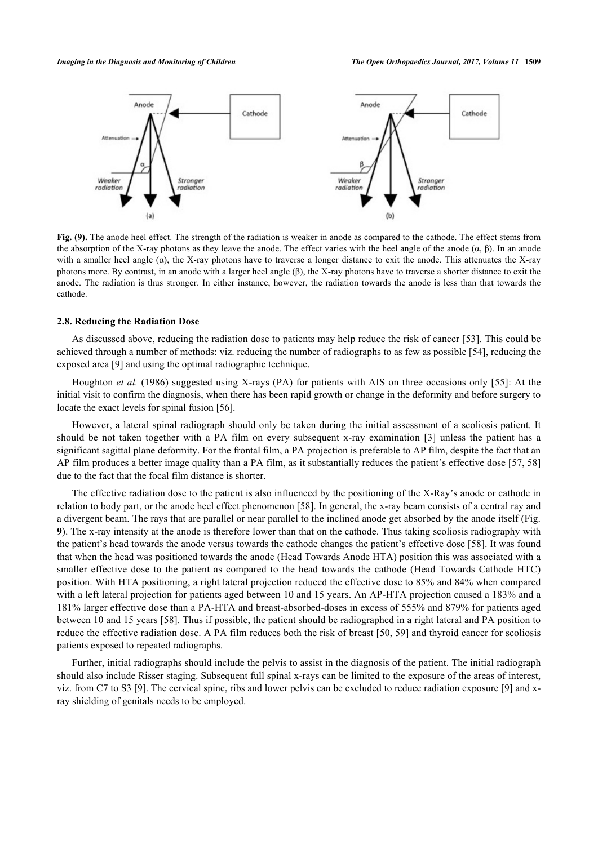

**Fig. (9).** The anode heel effect. The strength of the radiation is weaker in anode as compared to the cathode. The effect stems from the absorption of the X-ray photons as they leave the anode. The effect varies with the heel angle of the anode  $(α, β)$ . In an anode with a smaller heel angle  $(\alpha)$ , the X-ray photons have to traverse a longer distance to exit the anode. This attenuates the X-ray photons more. By contrast, in an anode with a larger heel angle (β), the X-ray photons have to traverse a shorter distance to exit the anode. The radiation is thus stronger. In either instance, however, the radiation towards the anode is less than that towards the cathode.

#### **2.8. Reducing the Radiation Dose**

As discussed above, reducing the radiation dose to patients may help reduce the risk of cancer [[53](#page-17-12)]. This could be achieved through a number of methods: viz. reducing the number of radiographs to as few as possible [\[54](#page-17-13)], reducing the exposed area [\[9](#page-15-7)] and using the optimal radiographic technique.

Houghton *et al.* (1986) suggested using X-rays (PA) for patients with AIS on three occasions only [[55\]](#page-17-14): At the initial visit to confirm the diagnosis, when there has been rapid growth or change in the deformity and before surgery to locate the exact levels for spinal fusion [[56\]](#page-17-15).

However, a lateral spinal radiograph should only be taken during the initial assessment of a scoliosis patient. It should be not taken together with a PA film on every subsequent x-ray examination[[3\]](#page-15-2) unless the patient has a significant sagittal plane deformity. For the frontal film, a PA projection is preferable to AP film, despite the fact that an AP film produces a better image quality than a PA film, as it substantially reduces the patient's effective dose [[57,](#page-17-16) [58](#page-17-17)] due to the fact that the focal film distance is shorter.

The effective radiation dose to the patient is also influenced by the positioning of the X-Ray's anode or cathode in relation to body part, or the anode heel effect phenomenon [[58](#page-17-17)]. In general, the x-ray beam consists of a central ray and a divergent beam. The rays that are parallel or near parallel to the inclined anode get absorbed by the anode itself (Fig. **[9](#page-8-1)**). The x-ray intensity at the anode is therefore lower than that on the cathode. Thus taking scoliosis radiography with the patient's head towards the anode versus towards the cathode changes the patient's effective dose [\[58](#page-17-17)]. It was found that when the head was positioned towards the anode (Head Towards Anode HTA) position this was associated with a smaller effective dose to the patient as compared to the head towards the cathode (Head Towards Cathode HTC) position. With HTA positioning, a right lateral projection reduced the effective dose to 85% and 84% when compared with a left lateral projection for patients aged between 10 and 15 years. An AP-HTA projection caused a 183% and a 181% larger effective dose than a PA-HTA and breast-absorbed-doses in excess of 555% and 879% for patients aged between 10 and 15 years [\[58](#page-17-17)]. Thus if possible, the patient should be radiographed in a right lateral and PA position to reduce the effective radiation dose. A PA film reduces both the risk of breast [\[50](#page-17-9), [59\]](#page-17-18) and thyroid cancer for scoliosis patients exposed to repeated radiographs.

<span id="page-9-0"></span>Further, initial radiographs should include the pelvis to assist in the diagnosis of the patient. The initial radiograph should also include Risser staging. Subsequent full spinal x-rays can be limited to the exposure of the areas of interest, viz. from C7 to S3 [\[9](#page-15-7)]. The cervical spine, ribs and lower pelvis can be excluded to reduce radiation exposure [\[9](#page-15-7)] and xray shielding of genitals needs to be employed.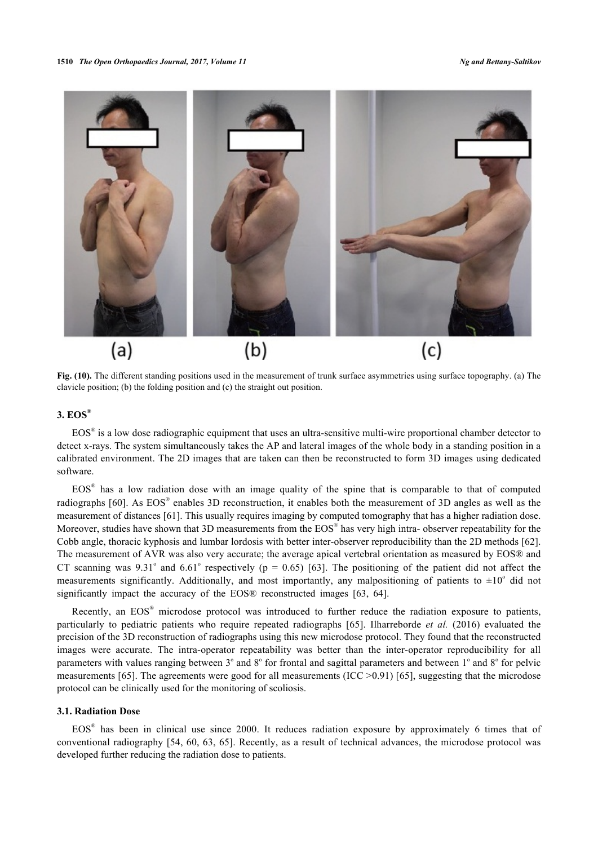

**Fig. (10).** The different standing positions used in the measurement of trunk surface asymmetries using surface topography. (a) The clavicle position; (b) the folding position and (c) the straight out position.

## **3. EOS®**

 $EOS^*$  is a low dose radiographic equipment that uses an ultra-sensitive multi-wire proportional chamber detector to detect x-rays. The system simultaneously takes the AP and lateral images of the whole body in a standing position in a calibrated environment. The 2D images that are taken can then be reconstructed to form 3D images using dedicated software.

 $EOS^{\circ}$  has a low radiation dose with an image quality of the spine that is comparable to that of computed radiographs [[60\]](#page-17-19). As EOS<sup>®</sup> enables 3D reconstruction, it enables both the measurement of 3D angles as well as the measurement of distances [[61\]](#page-18-0). This usually requires imaging by computed tomography that has a higher radiation dose. Moreover, studies have shown that 3D measurements from the EOS® has very high intra- observer repeatability for the Cobb angle, thoracic kyphosis and lumbar lordosis with better inter-observer reproducibility than the 2D methods [[62\]](#page-18-1). The measurement of AVR was also very accurate; the average apical vertebral orientation as measured by EOS® and CT scanning was 9.31° and 6.61° respectively ( $p = 0.65$ ) [\[63](#page-18-2)]. The positioning of the patient did not affect the measurements significantly. Additionally, and most importantly, any malpositioning of patients to  $\pm 10^{\circ}$  did not significantly impact the accuracy of the EOS® reconstructed images[[63,](#page-18-2) [64\]](#page-18-3).

Recently, an EOS® microdose protocol was introduced to further reduce the radiation exposure to patients, particularly to pediatric patients who require repeated radiographs [\[65](#page-18-4)]. Ilharreborde *et al.* (2016) evaluated the precision of the 3D reconstruction of radiographs using this new microdose protocol. They found that the reconstructed images were accurate. The intra-operator repeatability was better than the inter-operator reproducibility for all parameters with values ranging between  $3^\circ$  and  $8^\circ$  for frontal and sagittal parameters and between  $1^\circ$  and  $8^\circ$  for pelvic measurements [[65](#page-18-4)]. The agreements were good for all measurements (ICC  $>0.91$ ) [[65\]](#page-18-4), suggesting that the microdose protocol can be clinically used for the monitoring of scoliosis.

## **3.1. Radiation Dose**

EOS® has been in clinical use since 2000. It reduces radiation exposure by approximately 6 times that of conventional radiography [\[54,](#page-17-13) [60,](#page-17-19) [63](#page-18-2), [65\]](#page-18-4). Recently, as a result of technical advances, the microdose protocol was developed further reducing the radiation dose to patients.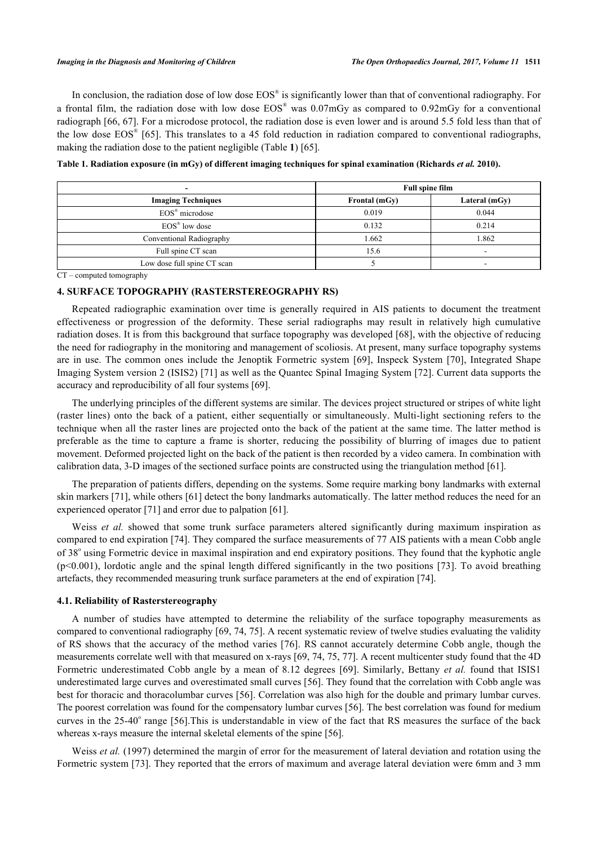In conclusion, the radiation dose of low dose  $EOS^{\circ}$  is significantly lower than that of conventional radiography. For a frontal film, the radiation dose with low dose  $EOS^{\circ}$  was 0.07mGy as compared to 0.92mGy for a conventional radiograph [[66,](#page-18-5) [67](#page-18-6)]. For a microdose protocol, the radiation dose is even lower and is around 5.5 fold less than that of the low dose  $EOS^{\circ}$  [[65\]](#page-18-4). This translates to a 45 fold reduction in radiation compared to conventional radiographs, making the radiation dose to the patient negligible (Table **[1](#page-11-0)**) [[65\]](#page-18-4).

|                             | <b>Full spine film</b> |               |  |
|-----------------------------|------------------------|---------------|--|
| <b>Imaging Techniques</b>   | Frontal (mGy)          | Lateral (mGy) |  |
| $EOS^{\otimes}$ microdose   | 0.019                  | 0.044         |  |
| $EOS^{\otimes}$ low dose    | 0.132                  | 0.214         |  |
| Conventional Radiography    | 1.662                  | 1.862         |  |
| Full spine CT scan          | 15.6                   |               |  |
| Low dose full spine CT scan |                        | -             |  |

<span id="page-11-0"></span>**Table 1. Radiation exposure (in mGy) of different imaging techniques for spinal examination (Richards** *et al.* **2010).**

CT – computed tomography

#### **4. SURFACE TOPOGRAPHY (RASTERSTEREOGRAPHY RS)**

Repeated radiographic examination over time is generally required in AIS patients to document the treatment effectiveness or progression of the deformity. These serial radiographs may result in relatively high cumulative radiation doses. It is from this background that surface topography was developed [\[68](#page-18-7)], with the objective of reducing the need for radiography in the monitoring and management of scoliosis. At present, many surface topography systems are in use. The common ones include the Jenoptik Formetric system [\[69](#page-18-8)], Inspeck System [\[70\]](#page-18-9), Integrated Shape Imaging System version 2 (ISIS2) [\[71](#page-18-10)] as well as the Quantec Spinal Imaging System [\[72](#page-18-11)]. Current data supports the accuracy and reproducibility of all four systems [[69\]](#page-18-8).

The underlying principles of the different systems are similar. The devices project structured or stripes of white light (raster lines) onto the back of a patient, either sequentially or simultaneously. Multi-light sectioning refers to the technique when all the raster lines are projected onto the back of the patient at the same time. The latter method is preferable as the time to capture a frame is shorter, reducing the possibility of blurring of images due to patient movement. Deformed projected light on the back of the patient is then recorded by a video camera. In combination with calibration data, 3-D images of the sectioned surface points are constructed using the triangulation method [\[61](#page-18-0)].

The preparation of patients differs, depending on the systems. Some require marking bony landmarks with external skin markers [\[71](#page-18-10)], while others [[61\]](#page-18-0) detect the bony landmarks automatically. The latter method reduces the need for an experienced operator [[71\]](#page-18-10) and error due to palpation [[61\]](#page-18-0).

Weiss *et al.* showed that some trunk surface parameters altered significantly during maximum inspiration as compared to end expiration [\[74](#page-18-12)]. They compared the surface measurements of 77 AIS patients with a mean Cobb angle of 38° using Formetric device in maximal inspiration and end expiratory positions. They found that the kyphotic angle  $(p<0.001)$ , lordotic angle and the spinal length differed significantly in the two positions [[73](#page-18-13)]. To avoid breathing artefacts, they recommended measuring trunk surface parameters at the end of expiration [[74\]](#page-18-12).

#### **4.1. Reliability of Rasterstereography**

A number of studies have attempted to determine the reliability of the surface topography measurements as compared to conventional radiography [[69,](#page-18-8) [74](#page-18-12), [75](#page-18-14)]. A recent systematic review of twelve studies evaluating the validity of RS shows that the accuracy of the method varies [[76](#page-18-15)]. RS cannot accurately determine Cobb angle, though the measurements correlate well with that measured on x-rays [[69,](#page-18-8) [74,](#page-18-12) [75,](#page-18-14) [77\]](#page-18-16). A recent multicenter study found that the 4D Formetric underestimated Cobb angle by a mean of 8.12 degrees[[69\]](#page-18-8). Similarly, Bettany *et al.* found that ISIS1 underestimated large curves and overestimated small curves [[56](#page-17-15)]. They found that the correlation with Cobb angle was best for thoracic and thoracolumbar curves [\[56\]](#page-17-15). Correlation was also high for the double and primary lumbar curves. The poorest correlation was found for the compensatory lumbar curves [[56\]](#page-17-15). The best correlation was found for medium curves in the 25-40° range [\[56](#page-17-15)]. This is understandable in view of the fact that RS measures the surface of the back whereas x-rays measure the internal skeletal elements of the spine [[56\]](#page-17-15).

Weiss *et al.* (1997) determined the margin of error for the measurement of lateral deviation and rotation using the Formetric system [\[73\]](#page-18-13). They reported that the errors of maximum and average lateral deviation were 6mm and 3 mm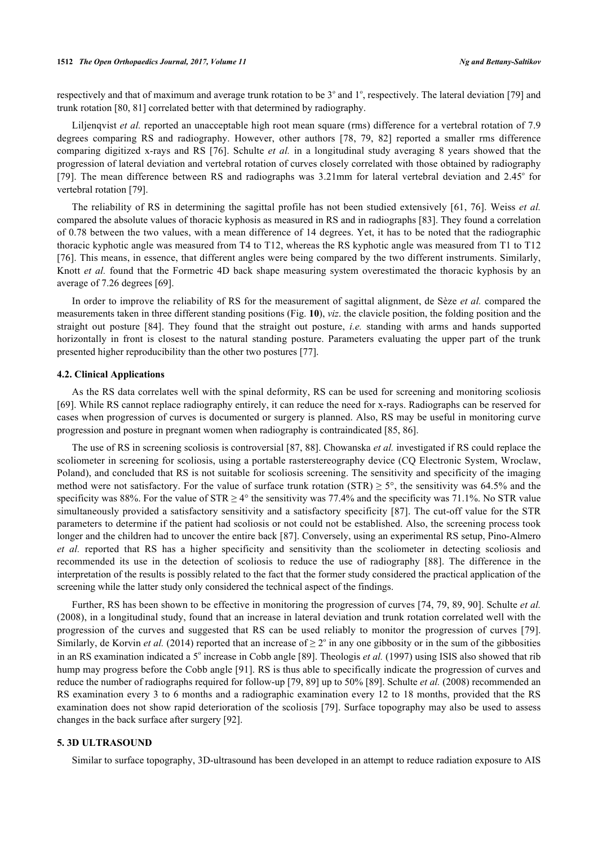respectively and that of maximum and average trunk rotation to be  $3^{\circ}$  and  $1^{\circ}$ , respectively. The lateral deviation [\[79](#page-18-17)] and trunk rotation [\[80](#page-18-18), [81](#page-19-0)] correlated better with that determined by radiography.

Liljenqvist *et al.* reported an unacceptable high root mean square (rms) difference for a vertebral rotation of 7.9 degrees comparing RS and radiography. However, other authors[[78](#page-18-19), [79](#page-18-17), [82\]](#page-19-1) reported a smaller rms difference comparing digitized x-rays and RS [\[76](#page-18-15)]. Schulte *et al.* in a longitudinal study averaging 8 years showed that the progression of lateral deviation and vertebral rotation of curves closely correlated with those obtained by radiography [\[79](#page-18-17)]. The mean difference between RS and radiographs was 3.21mm for lateral vertebral deviation and 2.45° for vertebral rotation [[79\]](#page-18-17).

The reliability of RS in determining the sagittal profile has not been studied extensively [[61](#page-18-0), [76\]](#page-18-15). Weiss *et al.* compared the absolute values of thoracic kyphosis as measured in RS and in radiographs [\[83](#page-19-2)]. They found a correlation of 0.78 between the two values, with a mean difference of 14 degrees. Yet, it has to be noted that the radiographic thoracic kyphotic angle was measured from T4 to T12, whereas the RS kyphotic angle was measured from T1 to T12 [\[76](#page-18-15)]. This means, in essence, that different angles were being compared by the two different instruments. Similarly, Knott *et al.* found that the Formetric 4D back shape measuring system overestimated the thoracic kyphosis by an average of 7.26 degrees [\[69](#page-18-8)].

In order to improve the reliability of RS for the measurement of sagittal alignment, de Sèze *et al.* compared the measurements taken in three different standing positions (Fig. **[10](#page-9-0)**), *viz*. the clavicle position, the folding position and the straight out posture [\[84\]](#page-19-3). They found that the straight out posture, *i.e.* standing with arms and hands supported horizontally in front is closest to the natural standing posture. Parameters evaluating the upper part of the trunk presented higher reproducibility than the other two postures [[77\]](#page-18-16).

#### **4.2. Clinical Applications**

As the RS data correlates well with the spinal deformity, RS can be used for screening and monitoring scoliosis [\[69](#page-18-8)]. While RS cannot replace radiography entirely, it can reduce the need for x-rays. Radiographs can be reserved for cases when progression of curves is documented or surgery is planned. Also, RS may be useful in monitoring curve progression and posture in pregnant women when radiography is contraindicated [\[85](#page-19-4), [86](#page-19-5)].

The use of RS in screening scoliosis is controversial [[87,](#page-19-6) [88\]](#page-19-7). Chowanska *et al.* investigated if RS could replace the scoliometer in screening for scoliosis, using a portable rasterstereography device (CQ Electronic System, Wroclaw, Poland), and concluded that RS is not suitable for scoliosis screening. The sensitivity and specificity of the imaging method were not satisfactory. For the value of surface trunk rotation (STR)  $\geq$  5°, the sensitivity was 64.5% and the specificity was 88%. For the value of  $STR \ge 4^{\circ}$  the sensitivity was 77.4% and the specificity was 71.1%. No STR value simultaneously provided a satisfactory sensitivity and a satisfactory specificity [[87\]](#page-19-6). The cut-off value for the STR parameters to determine if the patient had scoliosis or not could not be established. Also, the screening process took longer and the children had to uncover the entire back [\[87](#page-19-6)]. Conversely, using an experimental RS setup, Pino-Almero *et al.* reported that RS has a higher specificity and sensitivity than the scoliometer in detecting scoliosis and recommended its use in the detection of scoliosis to reduce the use of radiography [\[88\]](#page-19-7). The difference in the interpretation of the results is possibly related to the fact that the former study considered the practical application of the screening while the latter study only considered the technical aspect of the findings.

Further, RS has been shown to be effective in monitoring the progression of curves [\[74,](#page-18-12) [79,](#page-18-17) [89](#page-19-8), [90\]](#page-19-9). Schulte *et al.* (2008), in a longitudinal study, found that an increase in lateral deviation and trunk rotation correlated well with the progression of the curves and suggested that RS can be used reliably to monitor the progression of curves [\[79\]](#page-18-17). Similarly, de Korvin *et al.* (2014) reported that an increase of  $\geq 2^{\circ}$  in any one gibbosity or in the sum of the gibbosities in an RS examination indicated a 5° increase in Cobb angle [\[89](#page-19-8)]. Theologis *et al.* (1997) using ISIS also showed that rib hump may progress before the Cobb angle [[91\]](#page-19-10). RS is thus able to specifically indicate the progression of curves and reduce the number of radiographs required for follow-up [[79,](#page-18-17) [89\]](#page-19-8) up to 50% [\[89](#page-19-8)]. Schulte *et al.* (2008) recommended an RS examination every 3 to 6 months and a radiographic examination every 12 to 18 months, provided that the RS examination does not show rapid deterioration of the scoliosis [[79](#page-18-17)]. Surface topography may also be used to assess changes in the back surface after surgery [[92\]](#page-19-11).

## **5. 3D ULTRASOUND**

Similar to surface topography, 3D-ultrasound has been developed in an attempt to reduce radiation exposure to AIS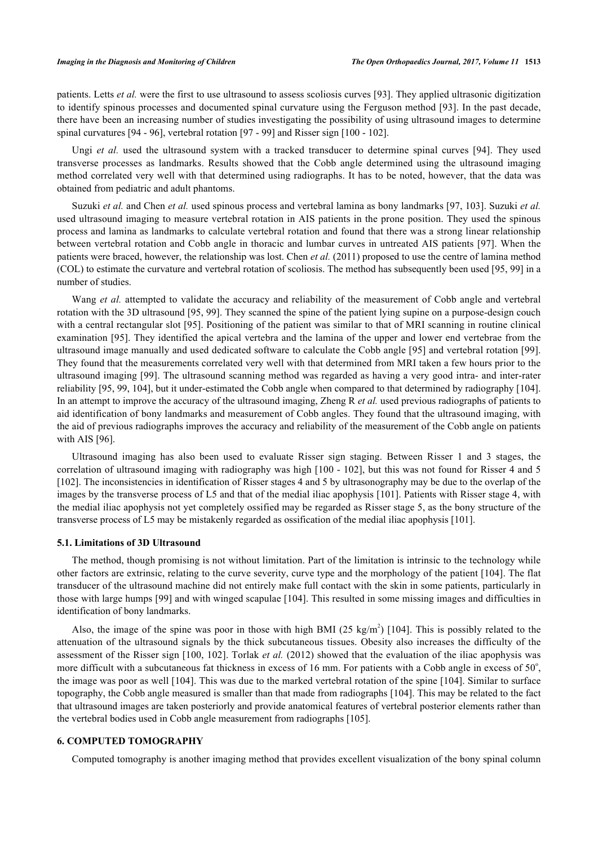patients. Letts *et al.* were the first to use ultrasound to assess scoliosis curves [\[93\]](#page-19-12). They applied ultrasonic digitization to identify spinous processes and documented spinal curvature using the Ferguson method [[93](#page-19-12)]. In the past decade, there have been an increasing number of studies investigating the possibility of using ultrasound images to determine spinal curvatures [[94](#page-19-13) - [96\]](#page-19-14), vertebral rotation [\[97](#page-19-15) - [99\]](#page-19-16) and Risser sign [\[100](#page-19-17) - [102\]](#page-20-0).

Ungi *et al.* used the ultrasound system with a tracked transducer to determine spinal curves [\[94\]](#page-19-13). They used transverse processes as landmarks. Results showed that the Cobb angle determined using the ultrasound imaging method correlated very well with that determined using radiographs. It has to be noted, however, that the data was obtained from pediatric and adult phantoms.

Suzuki *et al.* and Chen *et al.* used spinous process and vertebral lamina as bony landmarks [[97](#page-19-15), [103\]](#page-20-1). Suzuki *et al.* used ultrasound imaging to measure vertebral rotation in AIS patients in the prone position. They used the spinous process and lamina as landmarks to calculate vertebral rotation and found that there was a strong linear relationship between vertebral rotation and Cobb angle in thoracic and lumbar curves in untreated AIS patients [[97\]](#page-19-15). When the patients were braced, however, the relationship was lost. Chen *et al.* (2011) proposed to use the centre of lamina method (COL) to estimate the curvature and vertebral rotation of scoliosis. The method has subsequently been used [[95,](#page-19-18) [99](#page-19-16)] in a number of studies.

Wang *et al.* attempted to validate the accuracy and reliability of the measurement of Cobb angle and vertebral rotation with the 3D ultrasound [[95](#page-19-18), [99](#page-19-16)]. They scanned the spine of the patient lying supine on a purpose-design couch with a central rectangular slot [\[95\]](#page-19-18). Positioning of the patient was similar to that of MRI scanning in routine clinical examination [[95](#page-19-18)]. They identified the apical vertebra and the lamina of the upper and lower end vertebrae from the ultrasound image manually and used dedicated software to calculate the Cobb angle [[95\]](#page-19-18) and vertebral rotation [\[99\]](#page-19-16). They found that the measurements correlated very well with that determined from MRI taken a few hours prior to the ultrasound imaging [\[99](#page-19-16)]. The ultrasound scanning method was regarded as having a very good intra- and inter-rater reliability [[95,](#page-19-18) [99,](#page-19-16) [104\]](#page-20-2), but it under-estimated the Cobb angle when compared to that determined by radiography [[104\]](#page-20-2). In an attempt to improve the accuracy of the ultrasound imaging, Zheng R *et al.* used previous radiographs of patients to aid identification of bony landmarks and measurement of Cobb angles. They found that the ultrasound imaging, with the aid of previous radiographs improves the accuracy and reliability of the measurement of the Cobb angle on patients with AIS [[96\]](#page-19-14).

Ultrasound imaging has also been used to evaluate Risser sign staging. Between Risser 1 and 3 stages, the correlation of ultrasound imaging with radiography was high [[100](#page-19-17) - [102](#page-20-0)], but this was not found for Risser 4 and 5 [\[102](#page-20-0)]. The inconsistencies in identification of Risser stages 4 and 5 by ultrasonography may be due to the overlap of the images by the transverse process of L5 and that of the medial iliac apophysis [\[101\]](#page-20-3). Patients with Risser stage 4, with the medial iliac apophysis not yet completely ossified may be regarded as Risser stage 5, as the bony structure of the transverse process of L5 may be mistakenly regarded as ossification of the medial iliac apophysis [\[101](#page-20-3)].

#### **5.1. Limitations of 3D Ultrasound**

The method, though promising is not without limitation. Part of the limitation is intrinsic to the technology while other factors are extrinsic, relating to the curve severity, curve type and the morphology of the patient [\[104\]](#page-20-2). The flat transducer of the ultrasound machine did not entirely make full contact with the skin in some patients, particularly in those with large humps [[99](#page-19-16)] and with winged scapulae [\[104](#page-20-2)]. This resulted in some missing images and difficulties in identification of bony landmarks.

Also, the image of the spine was poor in those with high BMI  $(25 \text{ kg/m}^2)$  [\[104](#page-20-2)]. This is possibly related to the attenuation of the ultrasound signals by the thick subcutaneous tissues. Obesity also increases the difficulty of the assessment of the Risser sign [\[100](#page-19-17), [102\]](#page-20-0). Torlak *et al.* (2012) showed that the evaluation of the iliac apophysis was more difficult with a subcutaneous fat thickness in excess of 16 mm. For patients with a Cobb angle in excess of 50°, the image was poor as well [\[104\]](#page-20-2). This was due to the marked vertebral rotation of the spine [[104](#page-20-2)]. Similar to surface topography, the Cobb angle measured is smaller than that made from radiographs [[104](#page-20-2)]. This may be related to the fact that ultrasound images are taken posteriorly and provide anatomical features of vertebral posterior elements rather than the vertebral bodies used in Cobb angle measurement from radiographs [\[105](#page-20-4)].

## **6. COMPUTED TOMOGRAPHY**

Computed tomography is another imaging method that provides excellent visualization of the bony spinal column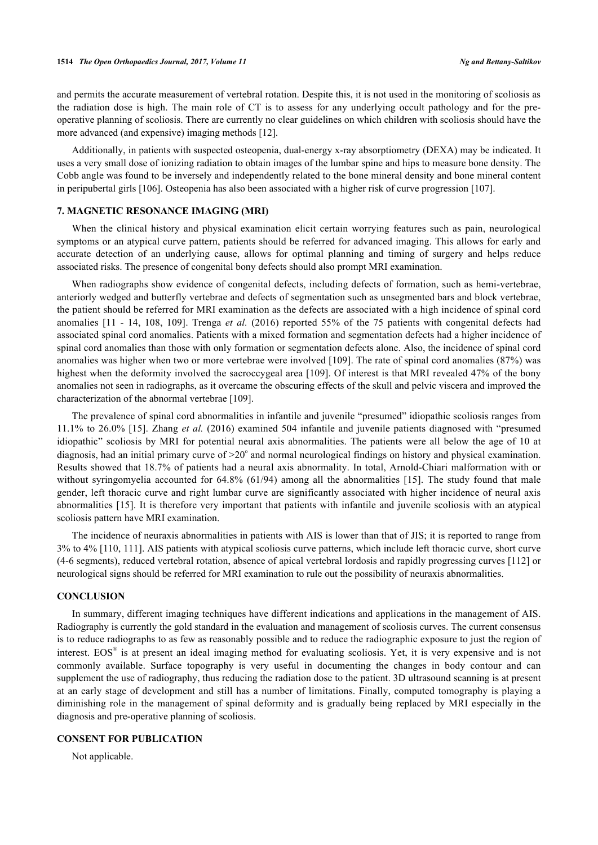and permits the accurate measurement of vertebral rotation. Despite this, it is not used in the monitoring of scoliosis as the radiation dose is high. The main role of CT is to assess for any underlying occult pathology and for the preoperative planning of scoliosis. There are currently no clear guidelines on which children with scoliosis should have the more advanced (and expensive) imaging methods [\[12](#page-15-15)].

Additionally, in patients with suspected osteopenia, dual-energy x-ray absorptiometry (DEXA) may be indicated. It uses a very small dose of ionizing radiation to obtain images of the lumbar spine and hips to measure bone density. The Cobb angle was found to be inversely and independently related to the bone mineral density and bone mineral content in peripubertal girls [\[106](#page-20-5)]. Osteopenia has also been associated with a higher risk of curve progression [\[107](#page-20-6)].

#### **7. MAGNETIC RESONANCE IMAGING (MRI)**

When the clinical history and physical examination elicit certain worrying features such as pain, neurological symptoms or an atypical curve pattern, patients should be referred for advanced imaging. This allows for early and accurate detection of an underlying cause, allows for optimal planning and timing of surgery and helps reduce associated risks. The presence of congenital bony defects should also prompt MRI examination.

When radiographs show evidence of congenital defects, including defects of formation, such as hemi-vertebrae, anteriorly wedged and butterfly vertebrae and defects of segmentation such as unsegmented bars and block vertebrae, the patient should be referred for MRI examination as the defects are associated with a high incidence of spinal cord anomalies[[11](#page-15-9) - [14,](#page-15-16) [108](#page-20-7), [109](#page-20-8)]. Trenga *et al.* (2016) reported 55% of the 75 patients with congenital defects had associated spinal cord anomalies. Patients with a mixed formation and segmentation defects had a higher incidence of spinal cord anomalies than those with only formation or segmentation defects alone. Also, the incidence of spinal cord anomalies was higher when two or more vertebrae were involved [[109](#page-20-8)]. The rate of spinal cord anomalies (87%) was highest when the deformity involved the sacroccygeal area [\[109\]](#page-20-8). Of interest is that MRI revealed 47% of the bony anomalies not seen in radiographs, as it overcame the obscuring effects of the skull and pelvic viscera and improved the characterization of the abnormal vertebrae [[109\]](#page-20-8).

The prevalence of spinal cord abnormalities in infantile and juvenile "presumed" idiopathic scoliosis ranges from 11.1% to 26.0% [[15\]](#page-15-10). Zhang *et al.* (2016) examined 504 infantile and juvenile patients diagnosed with "presumed idiopathic" scoliosis by MRI for potential neural axis abnormalities. The patients were all below the age of 10 at diagnosis, had an initial primary curve of >20° and normal neurological findings on history and physical examination. Results showed that 18.7% of patients had a neural axis abnormality. In total, Arnold-Chiari malformation with or withoutsyringomyelia accounted for 64.8% (61/94) among all the abnormalities [[15\]](#page-15-10). The study found that male gender, left thoracic curve and right lumbar curve are significantly associated with higher incidence of neural axis abnormalities [\[15\]](#page-15-10). It is therefore very important that patients with infantile and juvenile scoliosis with an atypical scoliosis pattern have MRI examination.

The incidence of neuraxis abnormalities in patients with AIS is lower than that of JIS; it is reported to range from 3% to 4% [[110,](#page-20-9) [111](#page-20-10)]. AIS patients with atypical scoliosis curve patterns, which include left thoracic curve, short curve (4-6 segments), reduced vertebral rotation, absence of apical vertebral lordosis and rapidly progressing curves [112] or neurological signs should be referred for MRI examination to rule out the possibility of neuraxis abnormalities.

#### **CONCLUSION**

In summary, different imaging techniques have different indications and applications in the management of AIS. Radiography is currently the gold standard in the evaluation and management of scoliosis curves. The current consensus is to reduce radiographs to as few as reasonably possible and to reduce the radiographic exposure to just the region of interest. EOS® is at present an ideal imaging method for evaluating scoliosis. Yet, it is very expensive and is not commonly available. Surface topography is very useful in documenting the changes in body contour and can supplement the use of radiography, thus reducing the radiation dose to the patient. 3D ultrasound scanning is at present at an early stage of development and still has a number of limitations. Finally, computed tomography is playing a diminishing role in the management of spinal deformity and is gradually being replaced by MRI especially in the diagnosis and pre-operative planning of scoliosis.

## **CONSENT FOR PUBLICATION**

Not applicable.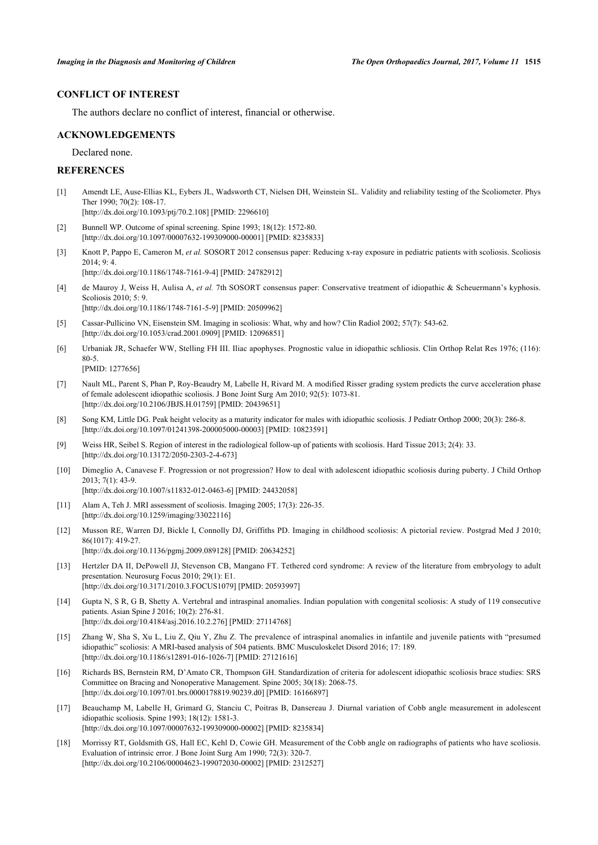## **CONFLICT OF INTEREST**

The authors declare no conflict of interest, financial or otherwise.

#### **ACKNOWLEDGEMENTS**

Declared none.

## **REFERENCES**

<span id="page-15-0"></span>[1] Amendt LE, Ause-Ellias KL, Eybers JL, Wadsworth CT, Nielsen DH, Weinstein SL. Validity and reliability testing of the Scoliometer. Phys Ther 1990; 70(2): 108-17.

[\[http://dx.doi.org/10.1093/ptj/70.2.108](http://dx.doi.org/10.1093/ptj/70.2.108)] [PMID: [2296610](http://www.ncbi.nlm.nih.gov/pubmed/2296610)]

- <span id="page-15-1"></span>[2] Bunnell WP. Outcome of spinal screening. Spine 1993; 18(12): 1572-80. [\[http://dx.doi.org/10.1097/00007632-199309000-00001](http://dx.doi.org/10.1097/00007632-199309000-00001)] [PMID: [8235833\]](http://www.ncbi.nlm.nih.gov/pubmed/8235833)
- <span id="page-15-2"></span>[3] Knott P, Pappo E, Cameron M, *et al.* SOSORT 2012 consensus paper: Reducing x-ray exposure in pediatric patients with scoliosis. Scoliosis  $2014.9.4$ [\[http://dx.doi.org/10.1186/1748-7161-9-4\]](http://dx.doi.org/10.1186/1748-7161-9-4) [PMID: [24782912](http://www.ncbi.nlm.nih.gov/pubmed/24782912)]
- <span id="page-15-14"></span>[4] de Mauroy J, Weiss H, Aulisa A, *et al.* 7th SOSORT consensus paper: Conservative treatment of idiopathic & Scheuermann's kyphosis. Scoliosis 2010; 5: 9. [\[http://dx.doi.org/10.1186/1748-7161-5-9\]](http://dx.doi.org/10.1186/1748-7161-5-9) [PMID: [20509962](http://www.ncbi.nlm.nih.gov/pubmed/20509962)]
- <span id="page-15-3"></span>[5] Cassar-Pullicino VN, Eisenstein SM. Imaging in scoliosis: What, why and how? Clin Radiol 2002; 57(7): 543-62. [\[http://dx.doi.org/10.1053/crad.2001.0909\]](http://dx.doi.org/10.1053/crad.2001.0909) [PMID: [12096851](http://www.ncbi.nlm.nih.gov/pubmed/12096851)]
- <span id="page-15-4"></span>[6] Urbaniak JR, Schaefer WW, Stelling FH III. Iliac apophyses. Prognostic value in idiopathic schliosis. Clin Orthop Relat Res 1976; (116): 80-5.

[PMID: [1277656\]](http://www.ncbi.nlm.nih.gov/pubmed/1277656)

- <span id="page-15-5"></span>[7] Nault ML, Parent S, Phan P, Roy-Beaudry M, Labelle H, Rivard M. A modified Risser grading system predicts the curve acceleration phase of female adolescent idiopathic scoliosis. J Bone Joint Surg Am 2010; 92(5): 1073-81. [\[http://dx.doi.org/10.2106/JBJS.H.01759\]](http://dx.doi.org/10.2106/JBJS.H.01759) [PMID: [20439651](http://www.ncbi.nlm.nih.gov/pubmed/20439651)]
- <span id="page-15-6"></span>[8] Song KM, Little DG. Peak height velocity as a maturity indicator for males with idiopathic scoliosis. J Pediatr Orthop 2000; 20(3): 286-8. [\[http://dx.doi.org/10.1097/01241398-200005000-00003](http://dx.doi.org/10.1097/01241398-200005000-00003)] [PMID: [10823591\]](http://www.ncbi.nlm.nih.gov/pubmed/10823591)
- <span id="page-15-7"></span>[9] Weiss HR, Seibel S. Region of interest in the radiological follow-up of patients with scoliosis. Hard Tissue 2013; 2(4): 33. [\[http://dx.doi.org/10.13172/2050-2303-2-4-673](http://dx.doi.org/10.13172/2050-2303-2-4-673)]
- <span id="page-15-8"></span>[10] Dimeglio A, Canavese F. Progression or not progression? How to deal with adolescent idiopathic scoliosis during puberty. J Child Orthop 2013; 7(1): 43-9. [\[http://dx.doi.org/10.1007/s11832-012-0463-6\]](http://dx.doi.org/10.1007/s11832-012-0463-6) [PMID: [24432058](http://www.ncbi.nlm.nih.gov/pubmed/24432058)]
- <span id="page-15-9"></span>[11] Alam A, Teh J. MRI assessment of scoliosis. Imaging 2005; 17(3): 226-35. [\[http://dx.doi.org/10.1259/imaging/33022116](http://dx.doi.org/10.1259/imaging/33022116)]
- <span id="page-15-15"></span>[12] Musson RE, Warren DJ, Bickle I, Connolly DJ, Griffiths PD. Imaging in childhood scoliosis: A pictorial review. Postgrad Med J 2010; 86(1017): 419-27. [\[http://dx.doi.org/10.1136/pgmj.2009.089128](http://dx.doi.org/10.1136/pgmj.2009.089128)] [PMID: [20634252\]](http://www.ncbi.nlm.nih.gov/pubmed/20634252)
- [13] Hertzler DA II, DePowell JJ, Stevenson CB, Mangano FT. Tethered cord syndrome: A review of the literature from embryology to adult presentation. Neurosurg Focus 2010; 29(1): E1. [\[http://dx.doi.org/10.3171/2010.3.FOCUS1079\]](http://dx.doi.org/10.3171/2010.3.FOCUS1079) [PMID: [20593997](http://www.ncbi.nlm.nih.gov/pubmed/20593997)]
- <span id="page-15-16"></span>[14] Gupta N, S R, G B, Shetty A. Vertebral and intraspinal anomalies. Indian population with congenital scoliosis: A study of 119 consecutive patients. Asian Spine J 2016; 10(2): 276-81. [\[http://dx.doi.org/10.4184/asj.2016.10.2.276\]](http://dx.doi.org/10.4184/asj.2016.10.2.276) [PMID: [27114768](http://www.ncbi.nlm.nih.gov/pubmed/27114768)]
- <span id="page-15-10"></span>[15] Zhang W, Sha S, Xu L, Liu Z, Qiu Y, Zhu Z. The prevalence of intraspinal anomalies in infantile and juvenile patients with "presumed idiopathic" scoliosis: A MRI-based analysis of 504 patients. BMC Musculoskelet Disord 2016; 17: 189. [\[http://dx.doi.org/10.1186/s12891-016-1026-7\]](http://dx.doi.org/10.1186/s12891-016-1026-7) [PMID: [27121616](http://www.ncbi.nlm.nih.gov/pubmed/27121616)]
- <span id="page-15-11"></span>[16] Richards BS, Bernstein RM, D'Amato CR, Thompson GH. Standardization of criteria for adolescent idiopathic scoliosis brace studies: SRS Committee on Bracing and Nonoperative Management. Spine 2005; 30(18): 2068-75. [\[http://dx.doi.org/10.1097/01.brs.0000178819.90239.d0\]](http://dx.doi.org/10.1097/01.brs.0000178819.90239.d0) [PMID: [16166897](http://www.ncbi.nlm.nih.gov/pubmed/16166897)]
- <span id="page-15-12"></span>[17] Beauchamp M, Labelle H, Grimard G, Stanciu C, Poitras B, Dansereau J. Diurnal variation of Cobb angle measurement in adolescent idiopathic scoliosis. Spine 1993; 18(12): 1581-3. [\[http://dx.doi.org/10.1097/00007632-199309000-00002](http://dx.doi.org/10.1097/00007632-199309000-00002)] [PMID: [8235834\]](http://www.ncbi.nlm.nih.gov/pubmed/8235834)
- <span id="page-15-13"></span>[18] Morrissy RT, Goldsmith GS, Hall EC, Kehl D, Cowie GH. Measurement of the Cobb angle on radiographs of patients who have scoliosis. Evaluation of intrinsic error. J Bone Joint Surg Am 1990; 72(3): 320-7. [\[http://dx.doi.org/10.2106/00004623-199072030-00002](http://dx.doi.org/10.2106/00004623-199072030-00002)] [PMID: [2312527\]](http://www.ncbi.nlm.nih.gov/pubmed/2312527)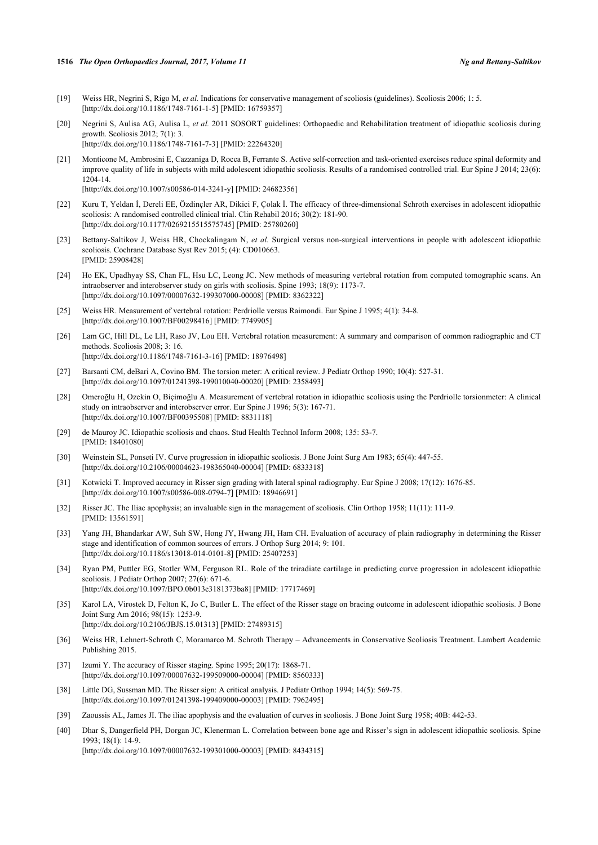#### **1516** *The Open Orthopaedics Journal, 2017, Volume 11 Ng and Bettany-Saltikov*

- <span id="page-16-0"></span>[19] Weiss HR, Negrini S, Rigo M, *et al.* Indications for conservative management of scoliosis (guidelines). Scoliosis 2006; 1: 5. [\[http://dx.doi.org/10.1186/1748-7161-1-5\]](http://dx.doi.org/10.1186/1748-7161-1-5) [PMID: [16759357](http://www.ncbi.nlm.nih.gov/pubmed/16759357)]
- <span id="page-16-1"></span>[20] Negrini S, Aulisa AG, Aulisa L, *et al.* 2011 SOSORT guidelines: Orthopaedic and Rehabilitation treatment of idiopathic scoliosis during growth. Scoliosis 2012; 7(1): 3.

[\[http://dx.doi.org/10.1186/1748-7161-7-3\]](http://dx.doi.org/10.1186/1748-7161-7-3) [PMID: [22264320](http://www.ncbi.nlm.nih.gov/pubmed/22264320)]

<span id="page-16-2"></span>[21] Monticone M, Ambrosini E, Cazzaniga D, Rocca B, Ferrante S. Active self-correction and task-oriented exercises reduce spinal deformity and improve quality of life in subjects with mild adolescent idiopathic scoliosis. Results of a randomised controlled trial. Eur Spine J 2014; 23(6): 1204-14. [\[http://dx.doi.org/10.1007/s00586-014-3241-y\]](http://dx.doi.org/10.1007/s00586-014-3241-y) [PMID: [24682356](http://www.ncbi.nlm.nih.gov/pubmed/24682356)]

<span id="page-16-3"></span>[22] Kuru T, Yeldan İ, Dereli EE, Özdinçler AR, Dikici F, Çolak İ. The efficacy of three-dimensional Schroth exercises in adolescent idiopathic scoliosis: A randomised controlled clinical trial. Clin Rehabil 2016; 30(2): 181-90. [\[http://dx.doi.org/10.1177/0269215515575745\]](http://dx.doi.org/10.1177/0269215515575745) [PMID: [25780260](http://www.ncbi.nlm.nih.gov/pubmed/25780260)]

- <span id="page-16-4"></span>[23] Bettany-Saltikov J, Weiss HR, Chockalingam N, *et al.* Surgical versus non-surgical interventions in people with adolescent idiopathic scoliosis. Cochrane Database Syst Rev 2015; (4): CD010663. [PMID: [25908428\]](http://www.ncbi.nlm.nih.gov/pubmed/25908428)
- <span id="page-16-5"></span>[24] Ho EK, Upadhyay SS, Chan FL, Hsu LC, Leong JC. New methods of measuring vertebral rotation from computed tomographic scans. An intraobserver and interobserver study on girls with scoliosis. Spine 1993; 18(9): 1173-7. [\[http://dx.doi.org/10.1097/00007632-199307000-00008](http://dx.doi.org/10.1097/00007632-199307000-00008)] [PMID: [8362322\]](http://www.ncbi.nlm.nih.gov/pubmed/8362322)
- <span id="page-16-6"></span>[25] Weiss HR. Measurement of vertebral rotation: Perdriolle versus Raimondi. Eur Spine J 1995; 4(1): 34-8. [\[http://dx.doi.org/10.1007/BF00298416\]](http://dx.doi.org/10.1007/BF00298416) [PMID: [7749905](http://www.ncbi.nlm.nih.gov/pubmed/7749905)]
- <span id="page-16-7"></span>[26] Lam GC, Hill DL, Le LH, Raso JV, Lou EH. Vertebral rotation measurement: A summary and comparison of common radiographic and CT methods. Scoliosis 2008; 3: 16. [\[http://dx.doi.org/10.1186/1748-7161-3-16\]](http://dx.doi.org/10.1186/1748-7161-3-16) [PMID: [18976498](http://www.ncbi.nlm.nih.gov/pubmed/18976498)]
- <span id="page-16-8"></span>[27] Barsanti CM, deBari A, Covino BM. The torsion meter: A critical review. J Pediatr Orthop 1990; 10(4): 527-31. [\[http://dx.doi.org/10.1097/01241398-199010040-00020](http://dx.doi.org/10.1097/01241398-199010040-00020)] [PMID: [2358493\]](http://www.ncbi.nlm.nih.gov/pubmed/2358493)
- <span id="page-16-9"></span>[28] Omeroğlu H, Ozekin O, Biçimoğlu A. Measurement of vertebral rotation in idiopathic scoliosis using the Perdriolle torsionmeter: A clinical study on intraobserver and interobserver error. Eur Spine J 1996; 5(3): 167-71. [\[http://dx.doi.org/10.1007/BF00395508\]](http://dx.doi.org/10.1007/BF00395508) [PMID: [8831118](http://www.ncbi.nlm.nih.gov/pubmed/8831118)]
- <span id="page-16-10"></span>[29] de Mauroy JC. Idiopathic scoliosis and chaos. Stud Health Technol Inform 2008; 135: 53-7. [PMID: [18401080\]](http://www.ncbi.nlm.nih.gov/pubmed/18401080)
- <span id="page-16-11"></span>[30] Weinstein SL, Ponseti IV. Curve progression in idiopathic scoliosis. J Bone Joint Surg Am 1983; 65(4): 447-55. [\[http://dx.doi.org/10.2106/00004623-198365040-00004](http://dx.doi.org/10.2106/00004623-198365040-00004)] [PMID: [6833318\]](http://www.ncbi.nlm.nih.gov/pubmed/6833318)
- <span id="page-16-12"></span>[31] Kotwicki T. Improved accuracy in Risser sign grading with lateral spinal radiography. Eur Spine J 2008; 17(12): 1676-85. [\[http://dx.doi.org/10.1007/s00586-008-0794-7\]](http://dx.doi.org/10.1007/s00586-008-0794-7) [PMID: [18946691](http://www.ncbi.nlm.nih.gov/pubmed/18946691)]
- <span id="page-16-13"></span>[32] Risser JC. The Iliac apophysis; an invaluable sign in the management of scoliosis. Clin Orthop 1958; 11(11): 111-9. [PMID: [13561591\]](http://www.ncbi.nlm.nih.gov/pubmed/13561591)
- <span id="page-16-14"></span>[33] Yang JH, Bhandarkar AW, Suh SW, Hong JY, Hwang JH, Ham CH. Evaluation of accuracy of plain radiography in determining the Risser stage and identification of common sources of errors. J Orthop Surg 2014; 9: 101. [\[http://dx.doi.org/10.1186/s13018-014-0101-8\]](http://dx.doi.org/10.1186/s13018-014-0101-8) [PMID: [25407253](http://www.ncbi.nlm.nih.gov/pubmed/25407253)]
- <span id="page-16-15"></span>[34] Ryan PM, Puttler EG, Stotler WM, Ferguson RL. Role of the triradiate cartilage in predicting curve progression in adolescent idiopathic scoliosis. J Pediatr Orthop 2007; 27(6): 671-6. [\[http://dx.doi.org/10.1097/BPO.0b013e3181373ba8](http://dx.doi.org/10.1097/BPO.0b013e3181373ba8)] [PMID: [17717469](http://www.ncbi.nlm.nih.gov/pubmed/17717469)]
- <span id="page-16-16"></span>[35] Karol LA, Virostek D, Felton K, Jo C, Butler L. The effect of the Risser stage on bracing outcome in adolescent idiopathic scoliosis. J Bone Joint Surg Am 2016; 98(15): 1253-9. [\[http://dx.doi.org/10.2106/JBJS.15.01313\]](http://dx.doi.org/10.2106/JBJS.15.01313) [PMID: [27489315](http://www.ncbi.nlm.nih.gov/pubmed/27489315)]
- <span id="page-16-17"></span>[36] Weiss HR, Lehnert-Schroth C, Moramarco M. Schroth Therapy – Advancements in Conservative Scoliosis Treatment. Lambert Academic Publishing 2015.
- <span id="page-16-18"></span>[37] Izumi Y. The accuracy of Risser staging. Spine 1995; 20(17): 1868-71. [\[http://dx.doi.org/10.1097/00007632-199509000-00004](http://dx.doi.org/10.1097/00007632-199509000-00004)] [PMID: [8560333\]](http://www.ncbi.nlm.nih.gov/pubmed/8560333)
- <span id="page-16-19"></span>[38] Little DG, Sussman MD. The Risser sign: A critical analysis. J Pediatr Orthop 1994; 14(5): 569-75. [\[http://dx.doi.org/10.1097/01241398-199409000-00003](http://dx.doi.org/10.1097/01241398-199409000-00003)] [PMID: [7962495\]](http://www.ncbi.nlm.nih.gov/pubmed/7962495)
- <span id="page-16-20"></span>[39] Zaoussis AL, James JI. The iliac apophysis and the evaluation of curves in scoliosis. J Bone Joint Surg 1958; 40B: 442-53.
- <span id="page-16-21"></span>[40] Dhar S, Dangerfield PH, Dorgan JC, Klenerman L. Correlation between bone age and Risser's sign in adolescent idiopathic scoliosis. Spine 1993; 18(1): 14-9. [\[http://dx.doi.org/10.1097/00007632-199301000-00003](http://dx.doi.org/10.1097/00007632-199301000-00003)] [PMID: [8434315\]](http://www.ncbi.nlm.nih.gov/pubmed/8434315)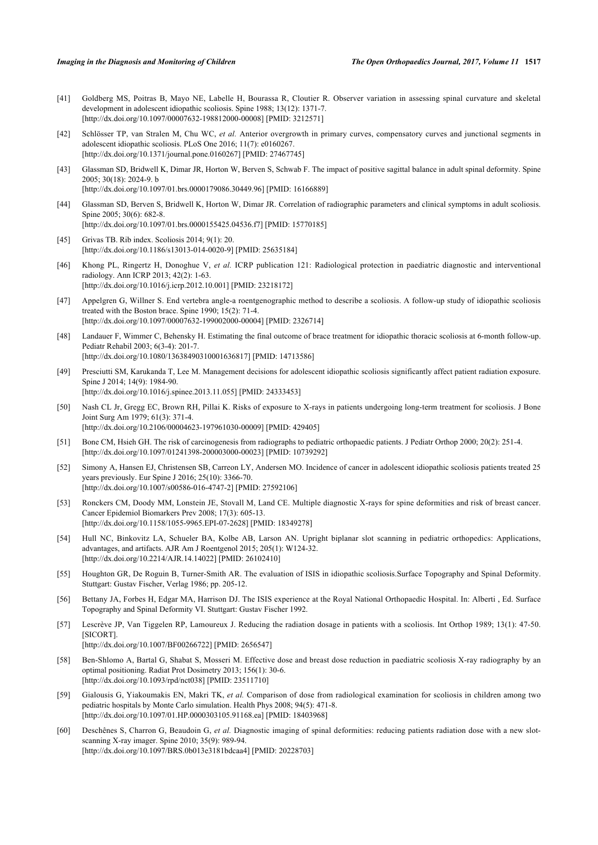- <span id="page-17-0"></span>[41] Goldberg MS, Poitras B, Mayo NE, Labelle H, Bourassa R, Cloutier R. Observer variation in assessing spinal curvature and skeletal development in adolescent idiopathic scoliosis. Spine 1988; 13(12): 1371-7. [\[http://dx.doi.org/10.1097/00007632-198812000-00008](http://dx.doi.org/10.1097/00007632-198812000-00008)] [PMID: [3212571\]](http://www.ncbi.nlm.nih.gov/pubmed/3212571)
- <span id="page-17-1"></span>[42] Schlösser TP, van Stralen M, Chu WC, *et al.* Anterior overgrowth in primary curves, compensatory curves and junctional segments in adolescent idiopathic scoliosis. PLoS One 2016; 11(7): e0160267. [\[http://dx.doi.org/10.1371/journal.pone.0160267](http://dx.doi.org/10.1371/journal.pone.0160267)] [PMID: [27467745\]](http://www.ncbi.nlm.nih.gov/pubmed/27467745)
- <span id="page-17-2"></span>[43] Glassman SD, Bridwell K, Dimar JR, Horton W, Berven S, Schwab F. The impact of positive sagittal balance in adult spinal deformity. Spine 2005; 30(18): 2024-9. b [\[http://dx.doi.org/10.1097/01.brs.0000179086.30449.96\]](http://dx.doi.org/10.1097/01.brs.0000179086.30449.96) [PMID: [16166889](http://www.ncbi.nlm.nih.gov/pubmed/16166889)]
- <span id="page-17-3"></span>[44] Glassman SD, Berven S, Bridwell K, Horton W, Dimar JR. Correlation of radiographic parameters and clinical symptoms in adult scoliosis. Spine 2005; 30(6): 682-8. [\[http://dx.doi.org/10.1097/01.brs.0000155425.04536.f7](http://dx.doi.org/10.1097/01.brs.0000155425.04536.f7)] [PMID: [15770185\]](http://www.ncbi.nlm.nih.gov/pubmed/15770185)
- <span id="page-17-4"></span>[45] Grivas TB. Rib index. Scoliosis 2014; 9(1): 20. [\[http://dx.doi.org/10.1186/s13013-014-0020-9\]](http://dx.doi.org/10.1186/s13013-014-0020-9) [PMID: [25635184](http://www.ncbi.nlm.nih.gov/pubmed/25635184)]
- <span id="page-17-5"></span>[46] Khong PL, Ringertz H, Donoghue V, *et al.* ICRP publication 121: Radiological protection in paediatric diagnostic and interventional radiology. Ann ICRP 2013; 42(2): 1-63. [\[http://dx.doi.org/10.1016/j.icrp.2012.10.001](http://dx.doi.org/10.1016/j.icrp.2012.10.001)] [PMID: [23218172](http://www.ncbi.nlm.nih.gov/pubmed/23218172)]
- <span id="page-17-6"></span>[47] Appelgren G, Willner S. End vertebra angle-a roentgenographic method to describe a scoliosis. A follow-up study of idiopathic scoliosis treated with the Boston brace. Spine 1990; 15(2): 71-4. [\[http://dx.doi.org/10.1097/00007632-199002000-00004](http://dx.doi.org/10.1097/00007632-199002000-00004)] [PMID: [2326714\]](http://www.ncbi.nlm.nih.gov/pubmed/2326714)
- <span id="page-17-7"></span>[48] Landauer F, Wimmer C, Behensky H. Estimating the final outcome of brace treatment for idiopathic thoracic scoliosis at 6-month follow-up. Pediatr Rehabil 2003; 6(3-4): 201-7. [\[http://dx.doi.org/10.1080/13638490310001636817\]](http://dx.doi.org/10.1080/13638490310001636817) [PMID: [14713586](http://www.ncbi.nlm.nih.gov/pubmed/14713586)]
- <span id="page-17-8"></span>[49] Presciutti SM, Karukanda T, Lee M. Management decisions for adolescent idiopathic scoliosis significantly affect patient radiation exposure. Spine J 2014; 14(9): 1984-90. [\[http://dx.doi.org/10.1016/j.spinee.2013.11.055](http://dx.doi.org/10.1016/j.spinee.2013.11.055)] [PMID: [24333453](http://www.ncbi.nlm.nih.gov/pubmed/24333453)]
- <span id="page-17-9"></span>[50] Nash CL Jr, Gregg EC, Brown RH, Pillai K. Risks of exposure to X-rays in patients undergoing long-term treatment for scoliosis. J Bone Joint Surg Am 1979; 61(3): 371-4. [\[http://dx.doi.org/10.2106/00004623-197961030-00009](http://dx.doi.org/10.2106/00004623-197961030-00009)] [PMID: [429405\]](http://www.ncbi.nlm.nih.gov/pubmed/429405)
- <span id="page-17-11"></span>[51] Bone CM, Hsieh GH. The risk of carcinogenesis from radiographs to pediatric orthopaedic patients. J Pediatr Orthop 2000; 20(2): 251-4. [\[http://dx.doi.org/10.1097/01241398-200003000-00023](http://dx.doi.org/10.1097/01241398-200003000-00023)] [PMID: [10739292\]](http://www.ncbi.nlm.nih.gov/pubmed/10739292)
- <span id="page-17-10"></span>[52] Simony A, Hansen EJ, Christensen SB, Carreon LY, Andersen MO. Incidence of cancer in adolescent idiopathic scoliosis patients treated 25 years previously. Eur Spine J 2016; 25(10): 3366-70. [\[http://dx.doi.org/10.1007/s00586-016-4747-2\]](http://dx.doi.org/10.1007/s00586-016-4747-2) [PMID: [27592106](http://www.ncbi.nlm.nih.gov/pubmed/27592106)]
- <span id="page-17-12"></span>[53] Ronckers CM, Doody MM, Lonstein JE, Stovall M, Land CE. Multiple diagnostic X-rays for spine deformities and risk of breast cancer. Cancer Epidemiol Biomarkers Prev 2008; 17(3): 605-13. [\[http://dx.doi.org/10.1158/1055-9965.EPI-07-2628\]](http://dx.doi.org/10.1158/1055-9965.EPI-07-2628) [PMID: [18349278](http://www.ncbi.nlm.nih.gov/pubmed/18349278)]
- <span id="page-17-13"></span>[54] Hull NC, Binkovitz LA, Schueler BA, Kolbe AB, Larson AN. Upright biplanar slot scanning in pediatric orthopedics: Applications, advantages, and artifacts. AJR Am J Roentgenol 2015; 205(1): W124-32. [\[http://dx.doi.org/10.2214/AJR.14.14022](http://dx.doi.org/10.2214/AJR.14.14022)] [PMID: [26102410\]](http://www.ncbi.nlm.nih.gov/pubmed/26102410)
- <span id="page-17-14"></span>[55] Houghton GR, De Roguin B, Turner-Smith AR. The evaluation of ISIS in idiopathic scoliosis.Surface Topography and Spinal Deformity. Stuttgart: Gustav Fischer, Verlag 1986; pp. 205-12.
- <span id="page-17-15"></span>[56] Bettany JA, Forbes H, Edgar MA, Harrison DJ. The ISIS experience at the Royal National Orthopaedic Hospital. In: Alberti , Ed. Surface Topography and Spinal Deformity VI. Stuttgart: Gustav Fischer 1992.
- <span id="page-17-16"></span>[57] Lescrève JP, Van Tiggelen RP, Lamoureux J. Reducing the radiation dosage in patients with a scoliosis. Int Orthop 1989; 13(1): 47-50. [SICORT].
	- [\[http://dx.doi.org/10.1007/BF00266722\]](http://dx.doi.org/10.1007/BF00266722) [PMID: [2656547](http://www.ncbi.nlm.nih.gov/pubmed/2656547)]
- <span id="page-17-17"></span>[58] Ben-Shlomo A, Bartal G, Shabat S, Mosseri M. Effective dose and breast dose reduction in paediatric scoliosis X-ray radiography by an optimal positioning. Radiat Prot Dosimetry 2013; 156(1): 30-6. [\[http://dx.doi.org/10.1093/rpd/nct038](http://dx.doi.org/10.1093/rpd/nct038)] [PMID: [23511710](http://www.ncbi.nlm.nih.gov/pubmed/23511710)]
- <span id="page-17-18"></span>[59] Gialousis G, Yiakoumakis EN, Makri TK, *et al.* Comparison of dose from radiological examination for scoliosis in children among two pediatric hospitals by Monte Carlo simulation. Health Phys 2008; 94(5): 471-8. [\[http://dx.doi.org/10.1097/01.HP.0000303105.91168.ea](http://dx.doi.org/10.1097/01.HP.0000303105.91168.ea)] [PMID: [18403968\]](http://www.ncbi.nlm.nih.gov/pubmed/18403968)
- <span id="page-17-19"></span>[60] Deschênes S, Charron G, Beaudoin G, *et al.* Diagnostic imaging of spinal deformities: reducing patients radiation dose with a new slotscanning X-ray imager. Spine 2010; 35(9): 989-94. [\[http://dx.doi.org/10.1097/BRS.0b013e3181bdcaa4](http://dx.doi.org/10.1097/BRS.0b013e3181bdcaa4)] [PMID: [20228703\]](http://www.ncbi.nlm.nih.gov/pubmed/20228703)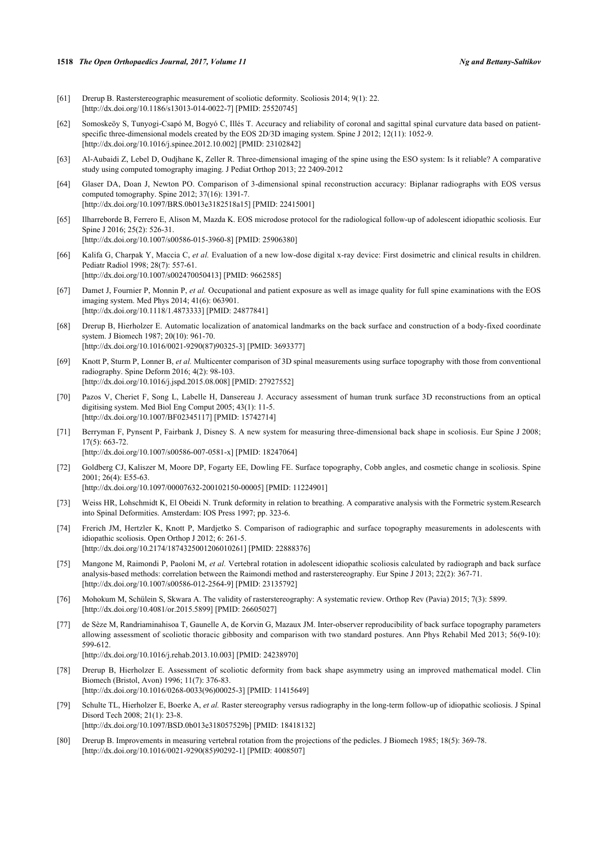#### **1518** *The Open Orthopaedics Journal, 2017, Volume 11 Ng and Bettany-Saltikov*

- <span id="page-18-0"></span>[61] Drerup B. Rasterstereographic measurement of scoliotic deformity. Scoliosis 2014; 9(1): 22. [\[http://dx.doi.org/10.1186/s13013-014-0022-7\]](http://dx.doi.org/10.1186/s13013-014-0022-7) [PMID: [25520745](http://www.ncbi.nlm.nih.gov/pubmed/25520745)]
- <span id="page-18-1"></span>[62] Somoskeöy S, Tunyogi-Csapó M, Bogyó C, Illés T. Accuracy and reliability of coronal and sagittal spinal curvature data based on patientspecific three-dimensional models created by the EOS 2D/3D imaging system. Spine J 2012; 12(11): 1052-9. [\[http://dx.doi.org/10.1016/j.spinee.2012.10.002](http://dx.doi.org/10.1016/j.spinee.2012.10.002)] [PMID: [23102842](http://www.ncbi.nlm.nih.gov/pubmed/23102842)]
- <span id="page-18-2"></span>[63] Al-Aubaidi Z, Lebel D, Oudjhane K, Zeller R. Three-dimensional imaging of the spine using the ESO system: Is it reliable? A comparative study using computed tomography imaging. J Pediat Orthop 2013; 22 2409-2012
- <span id="page-18-3"></span>[64] Glaser DA, Doan J, Newton PO. Comparison of 3-dimensional spinal reconstruction accuracy: Biplanar radiographs with EOS versus computed tomography. Spine 2012; 37(16): 1391-7. [\[http://dx.doi.org/10.1097/BRS.0b013e3182518a15](http://dx.doi.org/10.1097/BRS.0b013e3182518a15)] [PMID: [22415001\]](http://www.ncbi.nlm.nih.gov/pubmed/22415001)
- <span id="page-18-4"></span>[65] Ilharreborde B, Ferrero E, Alison M, Mazda K. EOS microdose protocol for the radiological follow-up of adolescent idiopathic scoliosis. Eur Spine J 2016; 25(2): 526-31. [\[http://dx.doi.org/10.1007/s00586-015-3960-8\]](http://dx.doi.org/10.1007/s00586-015-3960-8) [PMID: [25906380](http://www.ncbi.nlm.nih.gov/pubmed/25906380)]
- <span id="page-18-5"></span>[66] Kalifa G, Charpak Y, Maccia C, *et al.* Evaluation of a new low-dose digital x-ray device: First dosimetric and clinical results in children. Pediatr Radiol 1998; 28(7): 557-61. [\[http://dx.doi.org/10.1007/s002470050413\]](http://dx.doi.org/10.1007/s002470050413) [PMID: [9662585](http://www.ncbi.nlm.nih.gov/pubmed/9662585)]
- <span id="page-18-6"></span>[67] Damet J, Fournier P, Monnin P, *et al.* Occupational and patient exposure as well as image quality for full spine examinations with the EOS imaging system. Med Phys 2014; 41(6): 063901. [\[http://dx.doi.org/10.1118/1.4873333\]](http://dx.doi.org/10.1118/1.4873333) [PMID: [24877841](http://www.ncbi.nlm.nih.gov/pubmed/24877841)]
- <span id="page-18-7"></span>[68] Drerup B, Hierholzer E. Automatic localization of anatomical landmarks on the back surface and construction of a body-fixed coordinate system. J Biomech 1987; 20(10): 961-70. [\[http://dx.doi.org/10.1016/0021-9290\(87\)90325-3](http://dx.doi.org/10.1016/0021-9290(87)90325-3)] [PMID: [3693377](http://www.ncbi.nlm.nih.gov/pubmed/3693377)]
- <span id="page-18-8"></span>[69] Knott P, Sturm P, Lonner B, *et al.* Multicenter comparison of 3D spinal measurements using surface topography with those from conventional radiography. Spine Deform 2016; 4(2): 98-103. [\[http://dx.doi.org/10.1016/j.jspd.2015.08.008](http://dx.doi.org/10.1016/j.jspd.2015.08.008)] [PMID: [27927552\]](http://www.ncbi.nlm.nih.gov/pubmed/27927552)
- <span id="page-18-9"></span>[70] Pazos V, Cheriet F, Song L, Labelle H, Dansereau J. Accuracy assessment of human trunk surface 3D reconstructions from an optical digitising system. Med Biol Eng Comput 2005; 43(1): 11-5. [\[http://dx.doi.org/10.1007/BF02345117\]](http://dx.doi.org/10.1007/BF02345117) [PMID: [15742714](http://www.ncbi.nlm.nih.gov/pubmed/15742714)]
- <span id="page-18-10"></span>[71] Berryman F, Pynsent P, Fairbank J, Disney S. A new system for measuring three-dimensional back shape in scoliosis. Eur Spine J 2008;  $17(5)$ : 663-72. [\[http://dx.doi.org/10.1007/s00586-007-0581-x\]](http://dx.doi.org/10.1007/s00586-007-0581-x) [PMID: [18247064](http://www.ncbi.nlm.nih.gov/pubmed/18247064)]
- <span id="page-18-11"></span>[72] Goldberg CJ, Kaliszer M, Moore DP, Fogarty EE, Dowling FE. Surface topography, Cobb angles, and cosmetic change in scoliosis. Spine 2001; 26(4): E55-63. [\[http://dx.doi.org/10.1097/00007632-200102150-00005](http://dx.doi.org/10.1097/00007632-200102150-00005)] [PMID: [11224901\]](http://www.ncbi.nlm.nih.gov/pubmed/11224901)
- <span id="page-18-13"></span>[73] Weiss HR, Lohschmidt K, El Obeidi N. Trunk deformity in relation to breathing. A comparative analysis with the Formetric system.Research into Spinal Deformities. Amsterdam: IOS Press 1997; pp. 323-6.
- <span id="page-18-12"></span>[74] Frerich JM, Hertzler K, Knott P, Mardjetko S. Comparison of radiographic and surface topography measurements in adolescents with idiopathic scoliosis. Open Orthop J 2012; 6: 261-5. [\[http://dx.doi.org/10.2174/1874325001206010261\]](http://dx.doi.org/10.2174/1874325001206010261) [PMID: [22888376](http://www.ncbi.nlm.nih.gov/pubmed/22888376)]
- <span id="page-18-14"></span>[75] Mangone M, Raimondi P, Paoloni M, *et al.* Vertebral rotation in adolescent idiopathic scoliosis calculated by radiograph and back surface analysis-based methods: correlation between the Raimondi method and rasterstereography. Eur Spine J 2013; 22(2): 367-71. [\[http://dx.doi.org/10.1007/s00586-012-2564-9\]](http://dx.doi.org/10.1007/s00586-012-2564-9) [PMID: [23135792](http://www.ncbi.nlm.nih.gov/pubmed/23135792)]
- <span id="page-18-15"></span>[76] Mohokum M, Schülein S, Skwara A. The validity of rasterstereography: A systematic review. Orthop Rev (Pavia) 2015; 7(3): 5899. [\[http://dx.doi.org/10.4081/or.2015.5899](http://dx.doi.org/10.4081/or.2015.5899)] [PMID: [26605027](http://www.ncbi.nlm.nih.gov/pubmed/26605027)]
- <span id="page-18-16"></span>[77] de Sèze M, Randriaminahisoa T, Gaunelle A, de Korvin G, Mazaux JM. Inter-observer reproducibility of back surface topography parameters allowing assessment of scoliotic thoracic gibbosity and comparison with two standard postures. Ann Phys Rehabil Med 2013; 56(9-10): 599-612.
	- [\[http://dx.doi.org/10.1016/j.rehab.2013.10.003\]](http://dx.doi.org/10.1016/j.rehab.2013.10.003) [PMID: [24238970](http://www.ncbi.nlm.nih.gov/pubmed/24238970)]
- <span id="page-18-19"></span>[78] Drerup B, Hierholzer E. Assessment of scoliotic deformity from back shape asymmetry using an improved mathematical model. Clin Biomech (Bristol, Avon) 1996; 11(7): 376-83. [\[http://dx.doi.org/10.1016/0268-0033\(96\)00025-3](http://dx.doi.org/10.1016/0268-0033(96)00025-3)] [PMID: [11415649](http://www.ncbi.nlm.nih.gov/pubmed/11415649)]
- <span id="page-18-17"></span>[79] Schulte TL, Hierholzer E, Boerke A, *et al.* Raster stereography versus radiography in the long-term follow-up of idiopathic scoliosis. J Spinal Disord Tech 2008; 21(1): 23-8. [\[http://dx.doi.org/10.1097/BSD.0b013e318057529b\]](http://dx.doi.org/10.1097/BSD.0b013e318057529b) [PMID: [18418132](http://www.ncbi.nlm.nih.gov/pubmed/18418132)]
- <span id="page-18-18"></span>[80] Drerup B. Improvements in measuring vertebral rotation from the projections of the pedicles. J Biomech 1985; 18(5): 369-78. [\[http://dx.doi.org/10.1016/0021-9290\(85\)90292-1](http://dx.doi.org/10.1016/0021-9290(85)90292-1)] [PMID: [4008507](http://www.ncbi.nlm.nih.gov/pubmed/4008507)]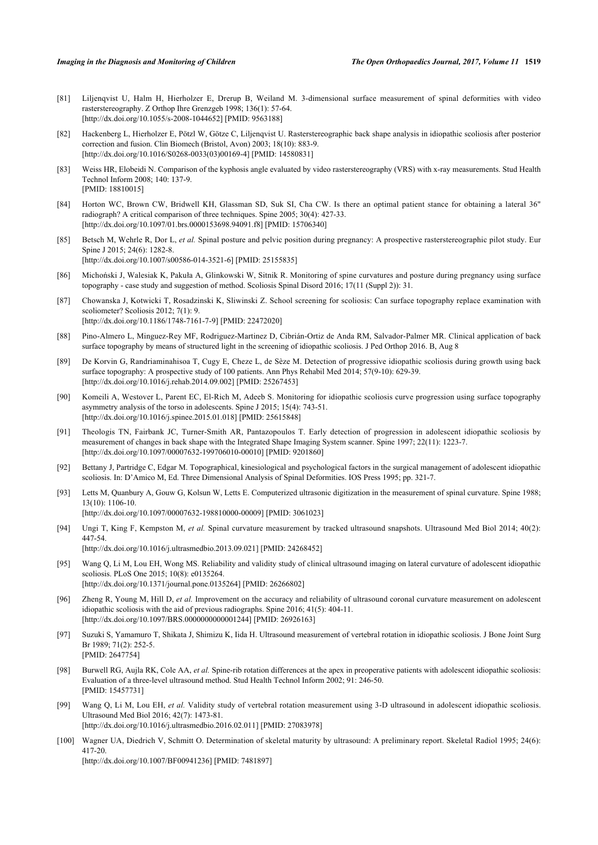- <span id="page-19-0"></span>[81] Liljenqvist U, Halm H, Hierholzer E, Drerup B, Weiland M. 3-dimensional surface measurement of spinal deformities with video rasterstereography. Z Orthop Ihre Grenzgeb 1998; 136(1): 57-64. [\[http://dx.doi.org/10.1055/s-2008-1044652](http://dx.doi.org/10.1055/s-2008-1044652)] [PMID: [9563188\]](http://www.ncbi.nlm.nih.gov/pubmed/9563188)
- <span id="page-19-1"></span>[82] Hackenberg L, Hierholzer E, Pötzl W, Götze C, Liljenqvist U. Rasterstereographic back shape analysis in idiopathic scoliosis after posterior correction and fusion. Clin Biomech (Bristol, Avon) 2003; 18(10): 883-9. [\[http://dx.doi.org/10.1016/S0268-0033\(03\)00169-4\]](http://dx.doi.org/10.1016/S0268-0033(03)00169-4) [PMID: [14580831](http://www.ncbi.nlm.nih.gov/pubmed/14580831)]
- <span id="page-19-2"></span>[83] Weiss HR, Elobeidi N. Comparison of the kyphosis angle evaluated by video rasterstereography (VRS) with x-ray measurements. Stud Health Technol Inform 2008; 140: 137-9. [PMID: [18810015\]](http://www.ncbi.nlm.nih.gov/pubmed/18810015)
- <span id="page-19-3"></span>[84] Horton WC, Brown CW, Bridwell KH, Glassman SD, Suk SI, Cha CW. Is there an optimal patient stance for obtaining a lateral 36" radiograph? A critical comparison of three techniques. Spine 2005; 30(4): 427-33. [\[http://dx.doi.org/10.1097/01.brs.0000153698.94091.f8](http://dx.doi.org/10.1097/01.brs.0000153698.94091.f8)] [PMID: [15706340\]](http://www.ncbi.nlm.nih.gov/pubmed/15706340)
- <span id="page-19-4"></span>[85] Betsch M, Wehrle R, Dor L, *et al.* Spinal posture and pelvic position during pregnancy: A prospective rasterstereographic pilot study. Eur Spine J 2015; 24(6): 1282-8. [\[http://dx.doi.org/10.1007/s00586-014-3521-6\]](http://dx.doi.org/10.1007/s00586-014-3521-6) [PMID: [25155835](http://www.ncbi.nlm.nih.gov/pubmed/25155835)]
- <span id="page-19-5"></span>[86] Michoński J, Walesiak K, Pakuła A, Glinkowski W, Sitnik R. Monitoring of spine curvatures and posture during pregnancy using surface topography - case study and suggestion of method. Scoliosis Spinal Disord 2016; 17(11 (Suppl 2)): 31.
- <span id="page-19-6"></span>[87] Chowanska J, Kotwicki T, Rosadzinski K, Sliwinski Z. School screening for scoliosis: Can surface topography replace examination with scoliometer? Scoliosis 2012; 7(1): 9. [\[http://dx.doi.org/10.1186/1748-7161-7-9\]](http://dx.doi.org/10.1186/1748-7161-7-9) [PMID: [22472020](http://www.ncbi.nlm.nih.gov/pubmed/22472020)]
- <span id="page-19-7"></span>[88] Pino-Almero L, Minguez-Rey MF, Rodriguez-Martinez D, Cibrián-Ortiz de Anda RM, Salvador-Palmer MR. Clinical application of back surface topography by means of structured light in the screening of idiopathic scoliosis. J Ped Orthop 2016. B, Aug 8
- <span id="page-19-8"></span>[89] De Korvin G, Randriaminahisoa T, Cugy E, Cheze L, de Sèze M. Detection of progressive idiopathic scoliosis during growth using back surface topography: A prospective study of 100 patients. Ann Phys Rehabil Med 2014; 57(9-10): 629-39. [\[http://dx.doi.org/10.1016/j.rehab.2014.09.002\]](http://dx.doi.org/10.1016/j.rehab.2014.09.002) [PMID: [25267453](http://www.ncbi.nlm.nih.gov/pubmed/25267453)]
- <span id="page-19-9"></span>[90] Komeili A, Westover L, Parent EC, El-Rich M, Adeeb S. Monitoring for idiopathic scoliosis curve progression using surface topography asymmetry analysis of the torso in adolescents. Spine J 2015; 15(4): 743-51. [\[http://dx.doi.org/10.1016/j.spinee.2015.01.018](http://dx.doi.org/10.1016/j.spinee.2015.01.018)] [PMID: [25615848](http://www.ncbi.nlm.nih.gov/pubmed/25615848)]
- <span id="page-19-10"></span>[91] Theologis TN, Fairbank JC, Turner-Smith AR, Pantazopoulos T. Early detection of progression in adolescent idiopathic scoliosis by measurement of changes in back shape with the Integrated Shape Imaging System scanner. Spine 1997; 22(11): 1223-7. [\[http://dx.doi.org/10.1097/00007632-199706010-00010](http://dx.doi.org/10.1097/00007632-199706010-00010)] [PMID: [9201860\]](http://www.ncbi.nlm.nih.gov/pubmed/9201860)
- <span id="page-19-11"></span>[92] Bettany J, Partridge C, Edgar M. Topographical, kinesiological and psychological factors in the surgical management of adolescent idiopathic scoliosis. In: D'Amico M, Ed. Three Dimensional Analysis of Spinal Deformities. IOS Press 1995; pp. 321-7.
- <span id="page-19-12"></span>[93] Letts M, Quanbury A, Gouw G, Kolsun W, Letts E. Computerized ultrasonic digitization in the measurement of spinal curvature. Spine 1988; 13(10): 1106-10. [\[http://dx.doi.org/10.1097/00007632-198810000-00009](http://dx.doi.org/10.1097/00007632-198810000-00009)] [PMID: [3061023\]](http://www.ncbi.nlm.nih.gov/pubmed/3061023)
- <span id="page-19-13"></span>[94] Ungi T, King F, Kempston M, *et al.* Spinal curvature measurement by tracked ultrasound snapshots. Ultrasound Med Biol 2014; 40(2): 447-54.
	- [\[http://dx.doi.org/10.1016/j.ultrasmedbio.2013.09.021\]](http://dx.doi.org/10.1016/j.ultrasmedbio.2013.09.021) [PMID: [24268452](http://www.ncbi.nlm.nih.gov/pubmed/24268452)]
- <span id="page-19-18"></span>[95] Wang Q, Li M, Lou EH, Wong MS. Reliability and validity study of clinical ultrasound imaging on lateral curvature of adolescent idiopathic scoliosis. PLoS One 2015; 10(8): e0135264. [\[http://dx.doi.org/10.1371/journal.pone.0135264](http://dx.doi.org/10.1371/journal.pone.0135264)] [PMID: [26266802\]](http://www.ncbi.nlm.nih.gov/pubmed/26266802)
- <span id="page-19-14"></span>[96] Zheng R, Young M, Hill D, *et al.* Improvement on the accuracy and reliability of ultrasound coronal curvature measurement on adolescent idiopathic scoliosis with the aid of previous radiographs. Spine 2016; 41(5): 404-11. [\[http://dx.doi.org/10.1097/BRS.0000000000001244\]](http://dx.doi.org/10.1097/BRS.0000000000001244) [PMID: [26926163](http://www.ncbi.nlm.nih.gov/pubmed/26926163)]
- <span id="page-19-15"></span>[97] Suzuki S, Yamamuro T, Shikata J, Shimizu K, Iida H. Ultrasound measurement of vertebral rotation in idiopathic scoliosis. J Bone Joint Surg Br 1989; 71(2): 252-5. [PMID: [2647754\]](http://www.ncbi.nlm.nih.gov/pubmed/2647754)
- [98] Burwell RG, Aujla RK, Cole AA, *et al.* Spine-rib rotation differences at the apex in preoperative patients with adolescent idiopathic scoliosis: Evaluation of a three-level ultrasound method. Stud Health Technol Inform 2002; 91: 246-50. [PMID: [15457731\]](http://www.ncbi.nlm.nih.gov/pubmed/15457731)
- <span id="page-19-16"></span>[99] Wang Q, Li M, Lou EH, *et al.* Validity study of vertebral rotation measurement using 3-D ultrasound in adolescent idiopathic scoliosis. Ultrasound Med Biol 2016; 42(7): 1473-81. [\[http://dx.doi.org/10.1016/j.ultrasmedbio.2016.02.011\]](http://dx.doi.org/10.1016/j.ultrasmedbio.2016.02.011) [PMID: [27083978](http://www.ncbi.nlm.nih.gov/pubmed/27083978)]
- <span id="page-19-17"></span>[100] Wagner UA, Diedrich V, Schmitt O. Determination of skeletal maturity by ultrasound: A preliminary report. Skeletal Radiol 1995; 24(6): 417-20. [\[http://dx.doi.org/10.1007/BF00941236\]](http://dx.doi.org/10.1007/BF00941236) [PMID: [7481897](http://www.ncbi.nlm.nih.gov/pubmed/7481897)]